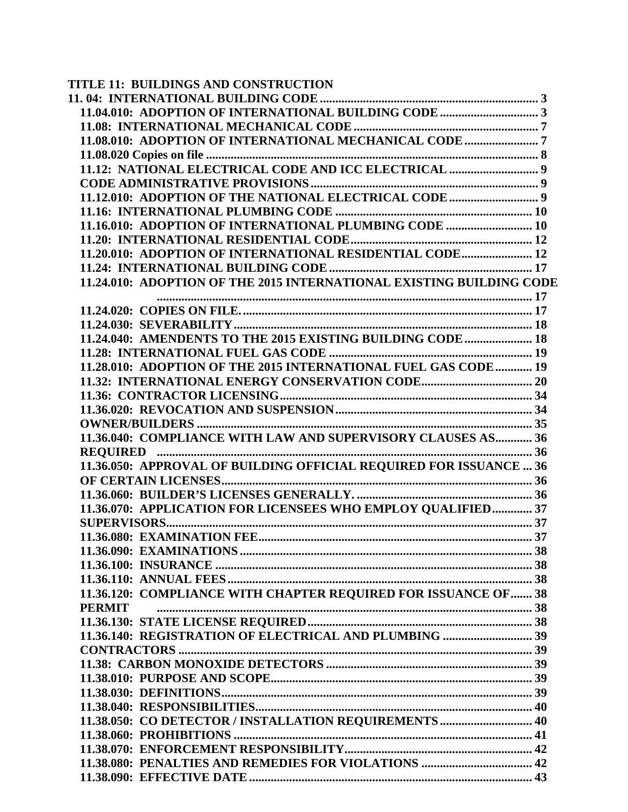| TITLE 11: BUILDINGS AND CONSTRUCTION                                 |  |
|----------------------------------------------------------------------|--|
|                                                                      |  |
|                                                                      |  |
|                                                                      |  |
|                                                                      |  |
|                                                                      |  |
|                                                                      |  |
|                                                                      |  |
|                                                                      |  |
|                                                                      |  |
| 11.16.010: ADOPTION OF INTERNATIONAL PLUMBING CODE  10               |  |
|                                                                      |  |
| 11.20.010: ADOPTION OF INTERNATIONAL RESIDENTIAL CODE 12             |  |
|                                                                      |  |
| 11.24.010: ADOPTION OF THE 2015 INTERNATIONAL EXISTING BUILDING CODE |  |
|                                                                      |  |
|                                                                      |  |
|                                                                      |  |
| 11.24.040: AMENDENTS TO THE 2015 EXISTING BUILDING CODE  18          |  |
|                                                                      |  |
| 11.28.010: ADOPTION OF THE 2015 INTERNATIONAL FUEL GAS CODE  19      |  |
|                                                                      |  |
|                                                                      |  |
|                                                                      |  |
|                                                                      |  |
| 11.36.040: COMPLIANCE WITH LAW AND SUPERVISORY CLAUSES AS 36         |  |
|                                                                      |  |
| 11.36.050: APPROVAL OF BUILDING OFFICIAL REQUIRED FOR ISSUANCE  36   |  |
|                                                                      |  |
|                                                                      |  |
| 11.36.070: APPLICATION FOR LICENSEES WHO EMPLOY QUALIFIED 37         |  |
|                                                                      |  |
|                                                                      |  |
|                                                                      |  |
|                                                                      |  |
|                                                                      |  |
| 11.36.120: COMPLIANCE WITH CHAPTER REQUIRED FOR ISSUANCE OF 38       |  |
| <b>PERMIT</b>                                                        |  |
|                                                                      |  |
|                                                                      |  |
|                                                                      |  |
|                                                                      |  |
|                                                                      |  |
|                                                                      |  |
|                                                                      |  |
| 11.38.050: CO DETECTOR / INSTALLATION REQUIREMENTS  40               |  |
|                                                                      |  |
|                                                                      |  |
|                                                                      |  |
|                                                                      |  |
|                                                                      |  |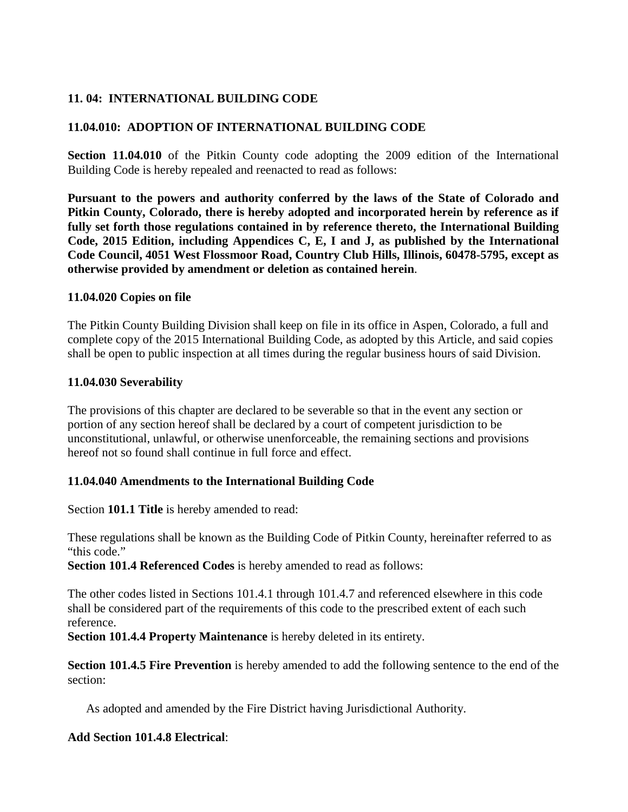# <span id="page-2-0"></span>**11. 04: INTERNATIONAL BUILDING CODE**

### <span id="page-2-1"></span>**11.04.010: ADOPTION OF INTERNATIONAL BUILDING CODE**

**Section 11.04.010** of the Pitkin County code adopting the 2009 edition of the International Building Code is hereby repealed and reenacted to read as follows:

**Pursuant to the powers and authority conferred by the laws of the State of Colorado and Pitkin County, Colorado, there is hereby adopted and incorporated herein by reference as if fully set forth those regulations contained in by reference thereto, the International Building Code, 2015 Edition, including Appendices C, E, I and J, as published by the International Code Council, 4051 West Flossmoor Road, Country Club Hills, Illinois, 60478-5795, except as otherwise provided by amendment or deletion as contained herein**.

#### **11.04.020 Copies on file**

The Pitkin County Building Division shall keep on file in its office in Aspen, Colorado, a full and complete copy of the 2015 International Building Code, as adopted by this Article, and said copies shall be open to public inspection at all times during the regular business hours of said Division.

#### **11.04.030 Severability**

The provisions of this chapter are declared to be severable so that in the event any section or portion of any section hereof shall be declared by a court of competent jurisdiction to be unconstitutional, unlawful, or otherwise unenforceable, the remaining sections and provisions hereof not so found shall continue in full force and effect.

### **11.04.040 Amendments to the International Building Code**

Section **101.1 Title** is hereby amended to read:

These regulations shall be known as the Building Code of Pitkin County, hereinafter referred to as "this code."

**Section 101.4 Referenced Codes** is hereby amended to read as follows:

The other codes listed in Sections 101.4.1 through 101.4.7 and referenced elsewhere in this code shall be considered part of the requirements of this code to the prescribed extent of each such reference.

**Section 101.4.4 Property Maintenance** is hereby deleted in its entirety.

**Section 101.4.5 Fire Prevention** is hereby amended to add the following sentence to the end of the section:

As adopted and amended by the Fire District having Jurisdictional Authority.

### **Add Section 101.4.8 Electrical**: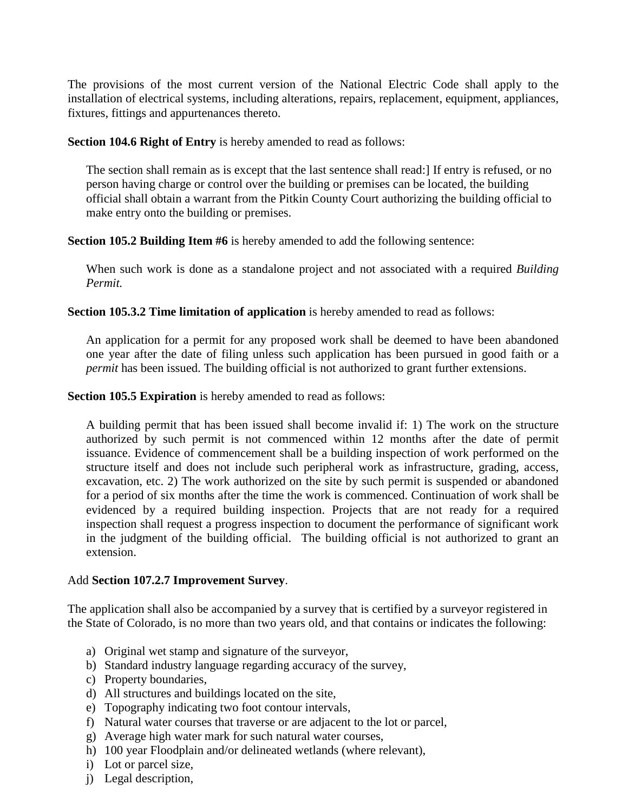The provisions of the most current version of the National Electric Code shall apply to the installation of electrical systems, including alterations, repairs, replacement, equipment, appliances, fixtures, fittings and appurtenances thereto.

**Section 104.6 Right of Entry** is hereby amended to read as follows:

The section shall remain as is except that the last sentence shall read:] If entry is refused, or no person having charge or control over the building or premises can be located, the building official shall obtain a warrant from the Pitkin County Court authorizing the building official to make entry onto the building or premises.

**Section 105.2 Building Item #6** is hereby amended to add the following sentence:

When such work is done as a standalone project and not associated with a required *Building Permit.*

**Section 105.3.2 Time limitation of application** is hereby amended to read as follows:

An application for a permit for any proposed work shall be deemed to have been abandoned one year after the date of filing unless such application has been pursued in good faith or a *permit* has been issued. The building official is not authorized to grant further extensions.

**Section 105.5 Expiration** is hereby amended to read as follows:

A building permit that has been issued shall become invalid if: 1) The work on the structure authorized by such permit is not commenced within 12 months after the date of permit issuance. Evidence of commencement shall be a building inspection of work performed on the structure itself and does not include such peripheral work as infrastructure, grading, access, excavation, etc. 2) The work authorized on the site by such permit is suspended or abandoned for a period of six months after the time the work is commenced. Continuation of work shall be evidenced by a required building inspection. Projects that are not ready for a required inspection shall request a progress inspection to document the performance of significant work in the judgment of the building official. The building official is not authorized to grant an extension.

### Add **Section 107.2.7 Improvement Survey**.

The application shall also be accompanied by a survey that is certified by a surveyor registered in the State of Colorado, is no more than two years old, and that contains or indicates the following:

- a) Original wet stamp and signature of the surveyor,
- b) Standard industry language regarding accuracy of the survey,
- c) Property boundaries,
- d) All structures and buildings located on the site,
- e) Topography indicating two foot contour intervals,
- f) Natural water courses that traverse or are adjacent to the lot or parcel,
- g) Average high water mark for such natural water courses,
- h) 100 year Floodplain and/or delineated wetlands (where relevant),
- i) Lot or parcel size,
- j) Legal description,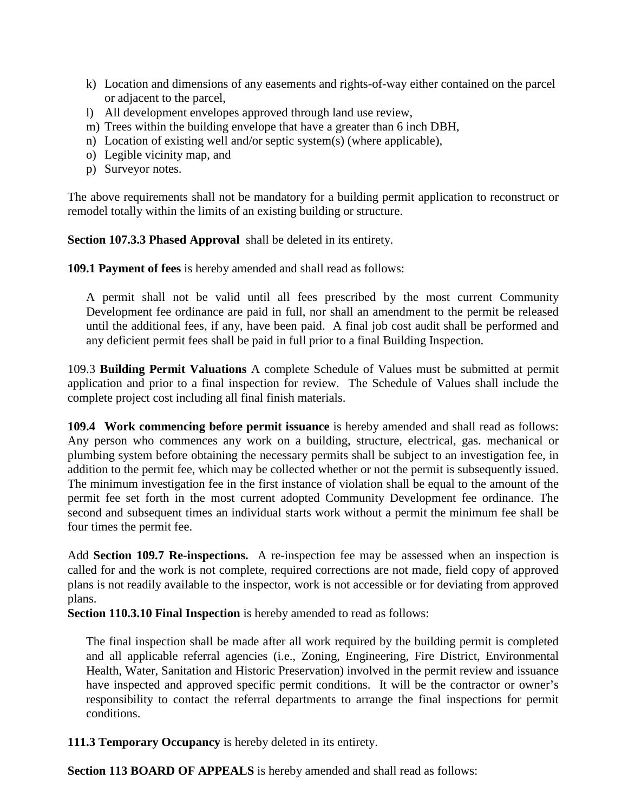- k) Location and dimensions of any easements and rights-of-way either contained on the parcel or adjacent to the parcel,
- l) All development envelopes approved through land use review,
- m) Trees within the building envelope that have a greater than 6 inch DBH,
- n) Location of existing well and/or septic system(s) (where applicable),
- o) Legible vicinity map, and
- p) Surveyor notes.

The above requirements shall not be mandatory for a building permit application to reconstruct or remodel totally within the limits of an existing building or structure.

**Section 107.3.3 Phased Approval** shall be deleted in its entirety.

**109.1 Payment of fees** is hereby amended and shall read as follows:

A permit shall not be valid until all fees prescribed by the most current Community Development fee ordinance are paid in full, nor shall an amendment to the permit be released until the additional fees, if any, have been paid. A final job cost audit shall be performed and any deficient permit fees shall be paid in full prior to a final Building Inspection.

109.3 **Building Permit Valuations** A complete Schedule of Values must be submitted at permit application and prior to a final inspection for review. The Schedule of Values shall include the complete project cost including all final finish materials.

**109.4 Work commencing before permit issuance** is hereby amended and shall read as follows: Any person who commences any work on a building, structure, electrical, gas. mechanical or plumbing system before obtaining the necessary permits shall be subject to an investigation fee, in addition to the permit fee, which may be collected whether or not the permit is subsequently issued. The minimum investigation fee in the first instance of violation shall be equal to the amount of the permit fee set forth in the most current adopted Community Development fee ordinance. The second and subsequent times an individual starts work without a permit the minimum fee shall be four times the permit fee.

Add **Section 109.7 Re-inspections.** A re-inspection fee may be assessed when an inspection is called for and the work is not complete, required corrections are not made, field copy of approved plans is not readily available to the inspector, work is not accessible or for deviating from approved plans.

**Section 110.3.10 Final Inspection** is hereby amended to read as follows:

The final inspection shall be made after all work required by the building permit is completed and all applicable referral agencies (i.e., Zoning, Engineering, Fire District, Environmental Health, Water, Sanitation and Historic Preservation) involved in the permit review and issuance have inspected and approved specific permit conditions. It will be the contractor or owner's responsibility to contact the referral departments to arrange the final inspections for permit conditions.

**111.3 Temporary Occupancy** is hereby deleted in its entirety.

**Section 113 BOARD OF APPEALS** is hereby amended and shall read as follows: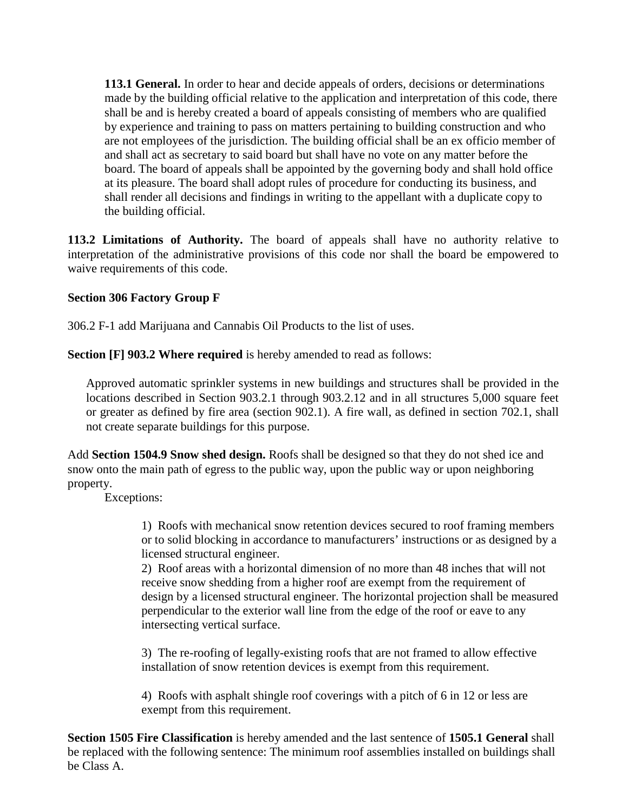**113.1 General.** In order to hear and decide appeals of orders, decisions or determinations made by the building official relative to the application and interpretation of this code, there shall be and is hereby created a board of appeals consisting of members who are qualified by experience and training to pass on matters pertaining to building construction and who are not employees of the jurisdiction. The building official shall be an ex officio member of and shall act as secretary to said board but shall have no vote on any matter before the board. The board of appeals shall be appointed by the governing body and shall hold office at its pleasure. The board shall adopt rules of procedure for conducting its business, and shall render all decisions and findings in writing to the appellant with a duplicate copy to the building official.

**113.2 Limitations of Authority.** The board of appeals shall have no authority relative to interpretation of the administrative provisions of this code nor shall the board be empowered to waive requirements of this code.

### **Section 306 Factory Group F**

306.2 F-1 add Marijuana and Cannabis Oil Products to the list of uses.

**Section [F] 903.2 Where required** is hereby amended to read as follows:

Approved automatic sprinkler systems in new buildings and structures shall be provided in the locations described in Section 903.2.1 through 903.2.12 and in all structures 5,000 square feet or greater as defined by fire area (section 902.1). A fire wall, as defined in section 702.1, shall not create separate buildings for this purpose.

Add **Section 1504.9 Snow shed design.** Roofs shall be designed so that they do not shed ice and snow onto the main path of egress to the public way, upon the public way or upon neighboring property.

Exceptions:

1) Roofs with mechanical snow retention devices secured to roof framing members or to solid blocking in accordance to manufacturers' instructions or as designed by a licensed structural engineer.

2) Roof areas with a horizontal dimension of no more than 48 inches that will not receive snow shedding from a higher roof are exempt from the requirement of design by a licensed structural engineer. The horizontal projection shall be measured perpendicular to the exterior wall line from the edge of the roof or eave to any intersecting vertical surface.

3) The re-roofing of legally-existing roofs that are not framed to allow effective installation of snow retention devices is exempt from this requirement.

4) Roofs with asphalt shingle roof coverings with a pitch of 6 in 12 or less are exempt from this requirement.

**Section 1505 Fire Classification** is hereby amended and the last sentence of **1505.1 General** shall be replaced with the following sentence: The minimum roof assemblies installed on buildings shall be Class A.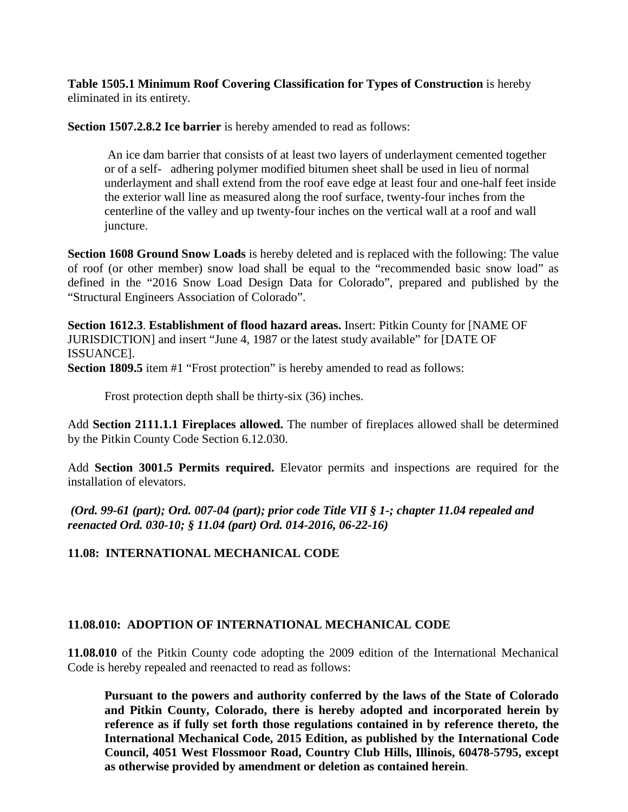**Table 1505.1 Minimum Roof Covering Classification for Types of Construction** is hereby eliminated in its entirety.

**Section 1507.2.8.2 Ice barrier** is hereby amended to read as follows:

An ice dam barrier that consists of at least two layers of underlayment cemented together or of a self- adhering polymer modified bitumen sheet shall be used in lieu of normal underlayment and shall extend from the roof eave edge at least four and one-half feet inside the exterior wall line as measured along the roof surface, twenty-four inches from the centerline of the valley and up twenty-four inches on the vertical wall at a roof and wall juncture.

**Section 1608 Ground Snow Loads** is hereby deleted and is replaced with the following: The value of roof (or other member) snow load shall be equal to the "recommended basic snow load" as defined in the "2016 Snow Load Design Data for Colorado", prepared and published by the "Structural Engineers Association of Colorado".

**Section 1612.3**. **Establishment of flood hazard areas.** Insert: Pitkin County for [NAME OF JURISDICTION] and insert "June 4, 1987 or the latest study available" for [DATE OF ISSUANCE].

**Section 1809.5** item #1 "Frost protection" is hereby amended to read as follows:

Frost protection depth shall be thirty-six (36) inches.

Add **Section 2111.1.1 Fireplaces allowed.** The number of fireplaces allowed shall be determined by the Pitkin County Code Section 6.12.030.

Add **Section 3001.5 Permits required.** Elevator permits and inspections are required for the installation of elevators.

*(Ord. 99-61 (part); Ord. 007-04 (part); prior code Title VII § 1-; chapter 11.04 repealed and reenacted Ord. 030-10; § 11.04 (part) Ord. 014-2016, 06-22-16)*

#### <span id="page-6-0"></span>**11.08: INTERNATIONAL MECHANICAL CODE**

#### <span id="page-6-1"></span>**11.08.010: ADOPTION OF INTERNATIONAL MECHANICAL CODE**

**11.08.010** of the Pitkin County code adopting the 2009 edition of the International Mechanical Code is hereby repealed and reenacted to read as follows:

**Pursuant to the powers and authority conferred by the laws of the State of Colorado and Pitkin County, Colorado, there is hereby adopted and incorporated herein by reference as if fully set forth those regulations contained in by reference thereto, the International Mechanical Code, 2015 Edition, as published by the International Code Council, 4051 West Flossmoor Road, Country Club Hills, Illinois, 60478-5795, except as otherwise provided by amendment or deletion as contained herein**.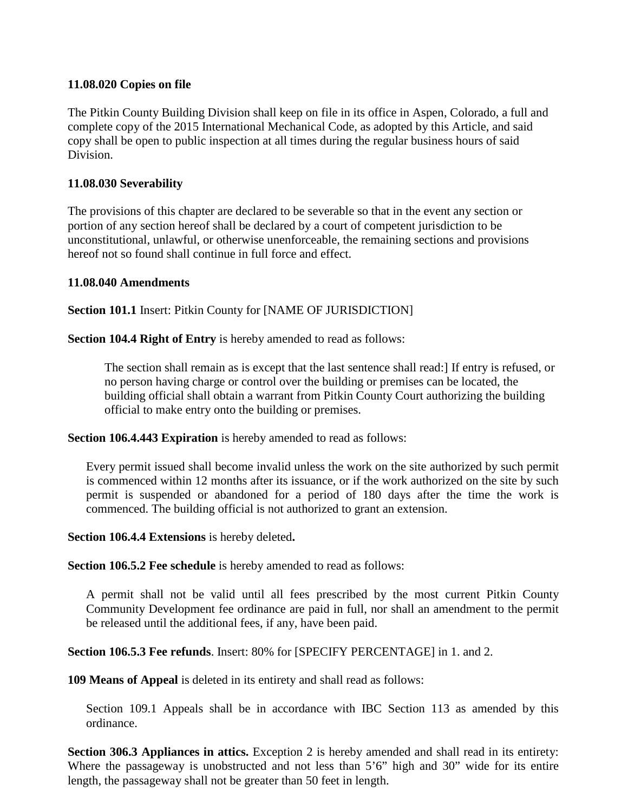#### <span id="page-7-0"></span>**11.08.020 Copies on file**

The Pitkin County Building Division shall keep on file in its office in Aspen, Colorado, a full and complete copy of the 2015 International Mechanical Code, as adopted by this Article, and said copy shall be open to public inspection at all times during the regular business hours of said Division.

#### **11.08.030 Severability**

The provisions of this chapter are declared to be severable so that in the event any section or portion of any section hereof shall be declared by a court of competent jurisdiction to be unconstitutional, unlawful, or otherwise unenforceable, the remaining sections and provisions hereof not so found shall continue in full force and effect.

#### **11.08.040 Amendments**

**Section 101.1** Insert: Pitkin County for [NAME OF JURISDICTION]

**Section 104.4 Right of Entry** is hereby amended to read as follows:

The section shall remain as is except that the last sentence shall read:] If entry is refused, or no person having charge or control over the building or premises can be located, the building official shall obtain a warrant from Pitkin County Court authorizing the building official to make entry onto the building or premises.

**Section 106.4.443 Expiration** is hereby amended to read as follows:

Every permit issued shall become invalid unless the work on the site authorized by such permit is commenced within 12 months after its issuance, or if the work authorized on the site by such permit is suspended or abandoned for a period of 180 days after the time the work is commenced. The building official is not authorized to grant an extension.

**Section 106.4.4 Extensions** is hereby deleted**.**

**Section 106.5.2 Fee schedule** is hereby amended to read as follows:

A permit shall not be valid until all fees prescribed by the most current Pitkin County Community Development fee ordinance are paid in full, nor shall an amendment to the permit be released until the additional fees, if any, have been paid.

**Section 106.5.3 Fee refunds**. Insert: 80% for [SPECIFY PERCENTAGE] in 1. and 2.

**109 Means of Appeal** is deleted in its entirety and shall read as follows:

Section 109.1 Appeals shall be in accordance with IBC Section 113 as amended by this ordinance.

**Section 306.3 Appliances in attics.** Exception 2 is hereby amended and shall read in its entirety: Where the passageway is unobstructed and not less than 5'6" high and 30" wide for its entire length, the passageway shall not be greater than 50 feet in length.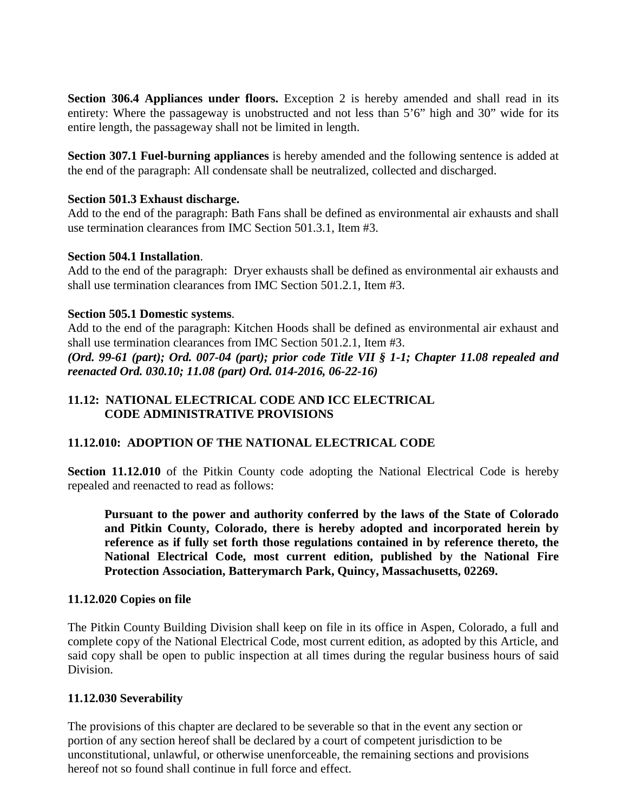**Section 306.4 Appliances under floors.** Exception 2 is hereby amended and shall read in its entirety: Where the passageway is unobstructed and not less than 5'6" high and 30" wide for its entire length, the passageway shall not be limited in length.

**Section 307.1 Fuel-burning appliances** is hereby amended and the following sentence is added at the end of the paragraph: All condensate shall be neutralized, collected and discharged.

#### **Section 501.3 Exhaust discharge.**

Add to the end of the paragraph: Bath Fans shall be defined as environmental air exhausts and shall use termination clearances from IMC Section 501.3.1, Item #3.

#### **Section 504.1 Installation**.

Add to the end of the paragraph: Dryer exhausts shall be defined as environmental air exhausts and shall use termination clearances from IMC Section 501.2.1, Item #3.

#### **Section 505.1 Domestic systems**.

Add to the end of the paragraph: Kitchen Hoods shall be defined as environmental air exhaust and shall use termination clearances from IMC Section 501.2.1, Item #3.

*(Ord. 99-61 (part); Ord. 007-04 (part); prior code Title VII § 1-1; Chapter 11.08 repealed and reenacted Ord. 030.10; 11.08 (part) Ord. 014-2016, 06-22-16)* 

### <span id="page-8-1"></span><span id="page-8-0"></span>**11.12: NATIONAL ELECTRICAL CODE AND ICC ELECTRICAL CODE ADMINISTRATIVE PROVISIONS**

### <span id="page-8-2"></span>**11.12.010: ADOPTION OF THE NATIONAL ELECTRICAL CODE**

**Section 11.12.010** of the Pitkin County code adopting the National Electrical Code is hereby repealed and reenacted to read as follows:

**Pursuant to the power and authority conferred by the laws of the State of Colorado and Pitkin County, Colorado, there is hereby adopted and incorporated herein by reference as if fully set forth those regulations contained in by reference thereto, the National Electrical Code, most current edition, published by the National Fire Protection Association, Batterymarch Park, Quincy, Massachusetts, 02269.**

### **11.12.020 Copies on file**

The Pitkin County Building Division shall keep on file in its office in Aspen, Colorado, a full and complete copy of the National Electrical Code, most current edition, as adopted by this Article, and said copy shall be open to public inspection at all times during the regular business hours of said Division.

#### **11.12.030 Severability**

The provisions of this chapter are declared to be severable so that in the event any section or portion of any section hereof shall be declared by a court of competent jurisdiction to be unconstitutional, unlawful, or otherwise unenforceable, the remaining sections and provisions hereof not so found shall continue in full force and effect.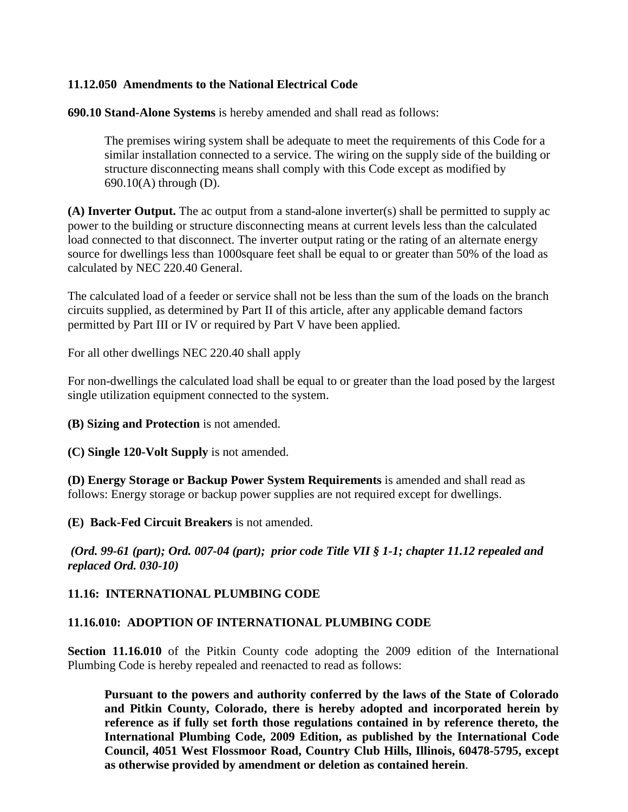#### **11.12.050 Amendments to the National Electrical Code**

**690.10 Stand-Alone Systems** is hereby amended and shall read as follows:

The premises wiring system shall be adequate to meet the requirements of this Code for a similar installation connected to a service. The wiring on the supply side of the building or structure disconnecting means shall comply with this Code except as modified by 690.10(A) through (D).

**(A) Inverter Output.** The ac output from a stand-alone inverter(s) shall be permitted to supply ac power to the building or structure disconnecting means at current levels less than the calculated load connected to that disconnect. The inverter output rating or the rating of an alternate energy source for dwellings less than 1000square feet shall be equal to or greater than 50% of the load as calculated by NEC 220.40 General.

The calculated load of a feeder or service shall not be less than the sum of the loads on the branch circuits supplied, as determined by Part II of this article, after any applicable demand factors permitted by Part III or IV or required by Part V have been applied.

For all other dwellings NEC 220.40 shall apply

For non-dwellings the calculated load shall be equal to or greater than the load posed by the largest single utilization equipment connected to the system.

**(B) Sizing and Protection** is not amended.

**(C) Single 120-Volt Supply** is not amended.

**(D) Energy Storage or Backup Power System Requirements** is amended and shall read as follows: Energy storage or backup power supplies are not required except for dwellings.

**(E) Back-Fed Circuit Breakers** is not amended.

*(Ord. 99-61 (part); Ord. 007-04 (part); prior code Title VII § 1-1; chapter 11.12 repealed and replaced Ord. 030-10)*

#### <span id="page-9-0"></span>**11.16: INTERNATIONAL PLUMBING CODE**

#### <span id="page-9-1"></span>**11.16.010: ADOPTION OF INTERNATIONAL PLUMBING CODE**

**Section 11.16.010** of the Pitkin County code adopting the 2009 edition of the International Plumbing Code is hereby repealed and reenacted to read as follows:

**Pursuant to the powers and authority conferred by the laws of the State of Colorado and Pitkin County, Colorado, there is hereby adopted and incorporated herein by reference as if fully set forth those regulations contained in by reference thereto, the International Plumbing Code, 2009 Edition, as published by the International Code Council, 4051 West Flossmoor Road, Country Club Hills, Illinois, 60478-5795, except as otherwise provided by amendment or deletion as contained herein**.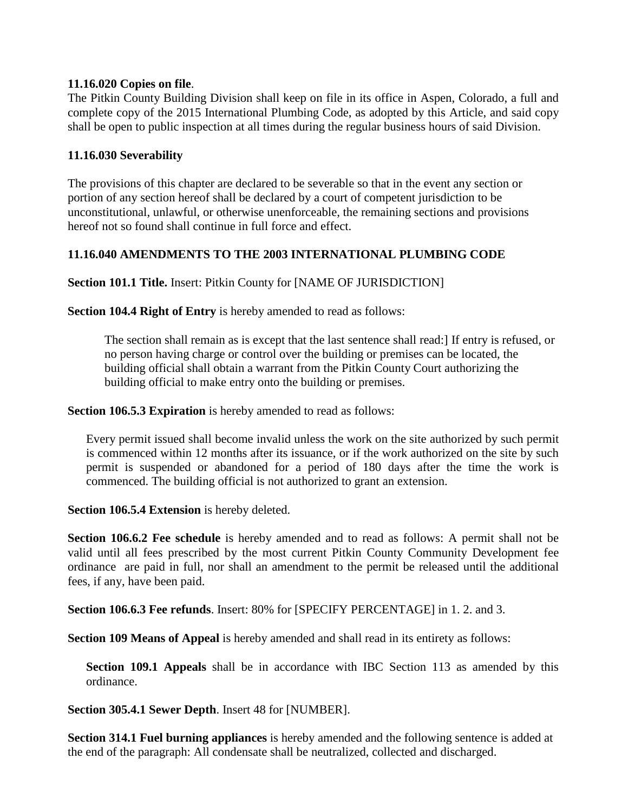#### **11.16.020 Copies on file**.

The Pitkin County Building Division shall keep on file in its office in Aspen, Colorado, a full and complete copy of the 2015 International Plumbing Code, as adopted by this Article, and said copy shall be open to public inspection at all times during the regular business hours of said Division.

#### **11.16.030 Severability**

The provisions of this chapter are declared to be severable so that in the event any section or portion of any section hereof shall be declared by a court of competent jurisdiction to be unconstitutional, unlawful, or otherwise unenforceable, the remaining sections and provisions hereof not so found shall continue in full force and effect.

#### **11.16.040 AMENDMENTS TO THE 2003 INTERNATIONAL PLUMBING CODE**

**Section 101.1 Title.** Insert: Pitkin County for [NAME OF JURISDICTION]

**Section 104.4 Right of Entry** is hereby amended to read as follows:

The section shall remain as is except that the last sentence shall read:] If entry is refused, or no person having charge or control over the building or premises can be located, the building official shall obtain a warrant from the Pitkin County Court authorizing the building official to make entry onto the building or premises.

**Section 106.5.3 Expiration** is hereby amended to read as follows:

Every permit issued shall become invalid unless the work on the site authorized by such permit is commenced within 12 months after its issuance, or if the work authorized on the site by such permit is suspended or abandoned for a period of 180 days after the time the work is commenced. The building official is not authorized to grant an extension.

**Section 106.5.4 Extension** is hereby deleted.

**Section 106.6.2 Fee schedule** is hereby amended and to read as follows: A permit shall not be valid until all fees prescribed by the most current Pitkin County Community Development fee ordinance are paid in full, nor shall an amendment to the permit be released until the additional fees, if any, have been paid.

**Section 106.6.3 Fee refunds**. Insert: 80% for [SPECIFY PERCENTAGE] in 1. 2. and 3.

**Section 109 Means of Appeal** is hereby amended and shall read in its entirety as follows:

**Section 109.1 Appeals** shall be in accordance with IBC Section 113 as amended by this ordinance.

**Section 305.4.1 Sewer Depth**. Insert 48 for [NUMBER].

**Section 314.1 Fuel burning appliances** is hereby amended and the following sentence is added at the end of the paragraph: All condensate shall be neutralized, collected and discharged.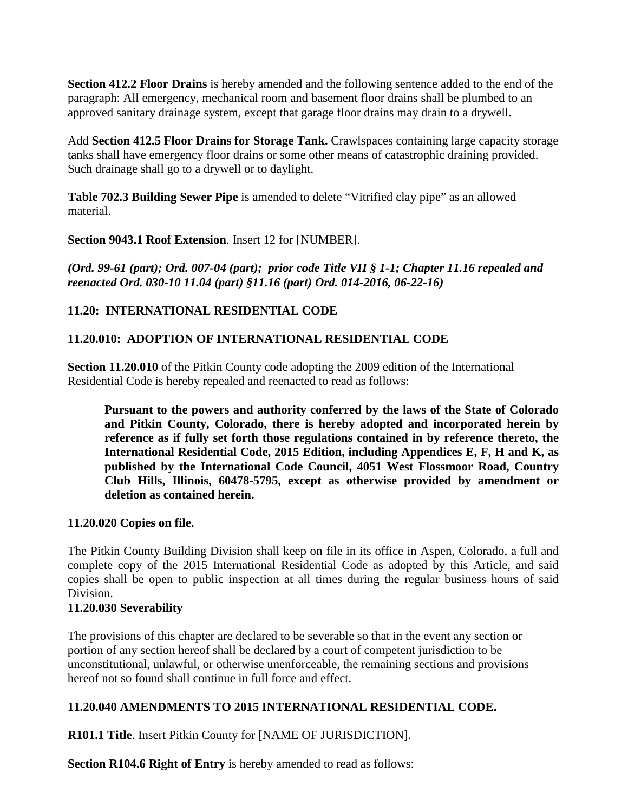**Section 412.2 Floor Drains** is hereby amended and the following sentence added to the end of the paragraph: All emergency, mechanical room and basement floor drains shall be plumbed to an approved sanitary drainage system, except that garage floor drains may drain to a drywell.

Add **Section 412.5 Floor Drains for Storage Tank.** Crawlspaces containing large capacity storage tanks shall have emergency floor drains or some other means of catastrophic draining provided. Such drainage shall go to a drywell or to daylight.

**Table 702.3 Building Sewer Pipe** is amended to delete "Vitrified clay pipe" as an allowed material.

**Section 9043.1 Roof Extension**. Insert 12 for [NUMBER].

*(Ord. 99-61 (part); Ord. 007-04 (part); prior code Title VII § 1-1; Chapter 11.16 repealed and reenacted Ord. 030-10 11.04 (part) §11.16 (part) Ord. 014-2016, 06-22-16)*

# <span id="page-11-0"></span>**11.20: INTERNATIONAL RESIDENTIAL CODE**

# <span id="page-11-1"></span>**11.20.010: ADOPTION OF INTERNATIONAL RESIDENTIAL CODE**

**Section 11.20.010** of the Pitkin County code adopting the 2009 edition of the International Residential Code is hereby repealed and reenacted to read as follows:

**Pursuant to the powers and authority conferred by the laws of the State of Colorado and Pitkin County, Colorado, there is hereby adopted and incorporated herein by reference as if fully set forth those regulations contained in by reference thereto, the International Residential Code, 2015 Edition, including Appendices E, F, H and K, as published by the International Code Council, 4051 West Flossmoor Road, Country Club Hills, Illinois, 60478-5795, except as otherwise provided by amendment or deletion as contained herein.** 

### **11.20.020 Copies on file.**

The Pitkin County Building Division shall keep on file in its office in Aspen, Colorado, a full and complete copy of the 2015 International Residential Code as adopted by this Article, and said copies shall be open to public inspection at all times during the regular business hours of said Division.

# **11.20.030 Severability**

The provisions of this chapter are declared to be severable so that in the event any section or portion of any section hereof shall be declared by a court of competent jurisdiction to be unconstitutional, unlawful, or otherwise unenforceable, the remaining sections and provisions hereof not so found shall continue in full force and effect.

# **11.20.040 AMENDMENTS TO 2015 INTERNATIONAL RESIDENTIAL CODE.**

**R101.1 Title**. Insert Pitkin County for [NAME OF JURISDICTION].

**Section R104.6 Right of Entry** is hereby amended to read as follows: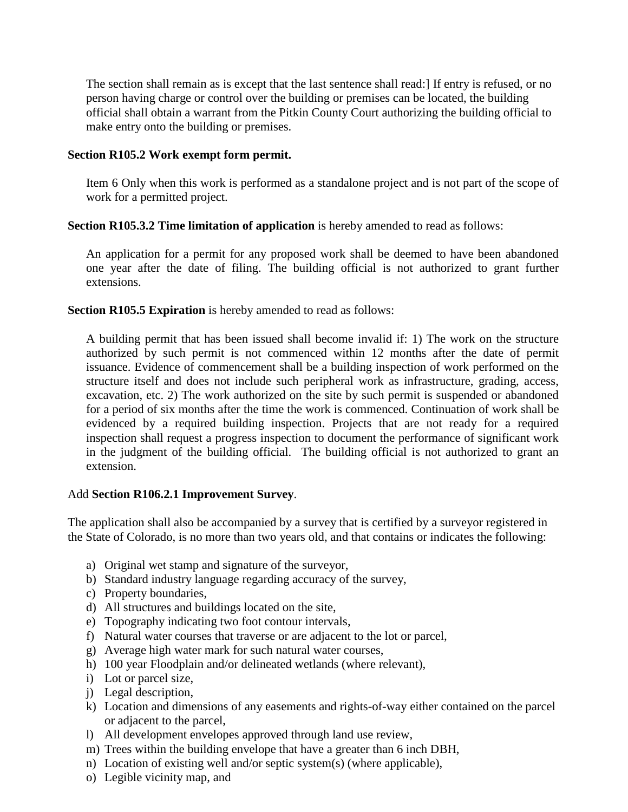The section shall remain as is except that the last sentence shall read:] If entry is refused, or no person having charge or control over the building or premises can be located, the building official shall obtain a warrant from the Pitkin County Court authorizing the building official to make entry onto the building or premises.

#### **Section R105.2 Work exempt form permit.**

Item 6 Only when this work is performed as a standalone project and is not part of the scope of work for a permitted project.

#### **Section R105.3.2 Time limitation of application** is hereby amended to read as follows:

An application for a permit for any proposed work shall be deemed to have been abandoned one year after the date of filing. The building official is not authorized to grant further extensions.

#### **Section R105.5 Expiration** is hereby amended to read as follows:

A building permit that has been issued shall become invalid if: 1) The work on the structure authorized by such permit is not commenced within 12 months after the date of permit issuance. Evidence of commencement shall be a building inspection of work performed on the structure itself and does not include such peripheral work as infrastructure, grading, access, excavation, etc. 2) The work authorized on the site by such permit is suspended or abandoned for a period of six months after the time the work is commenced. Continuation of work shall be evidenced by a required building inspection. Projects that are not ready for a required inspection shall request a progress inspection to document the performance of significant work in the judgment of the building official. The building official is not authorized to grant an extension.

#### Add **Section R106.2.1 Improvement Survey**.

The application shall also be accompanied by a survey that is certified by a surveyor registered in the State of Colorado, is no more than two years old, and that contains or indicates the following:

- a) Original wet stamp and signature of the surveyor,
- b) Standard industry language regarding accuracy of the survey,
- c) Property boundaries,
- d) All structures and buildings located on the site,
- e) Topography indicating two foot contour intervals,
- f) Natural water courses that traverse or are adjacent to the lot or parcel,
- g) Average high water mark for such natural water courses,
- h) 100 year Floodplain and/or delineated wetlands (where relevant),
- i) Lot or parcel size,
- j) Legal description,
- k) Location and dimensions of any easements and rights-of-way either contained on the parcel or adjacent to the parcel,
- l) All development envelopes approved through land use review,
- m) Trees within the building envelope that have a greater than 6 inch DBH,
- n) Location of existing well and/or septic system(s) (where applicable),
- o) Legible vicinity map, and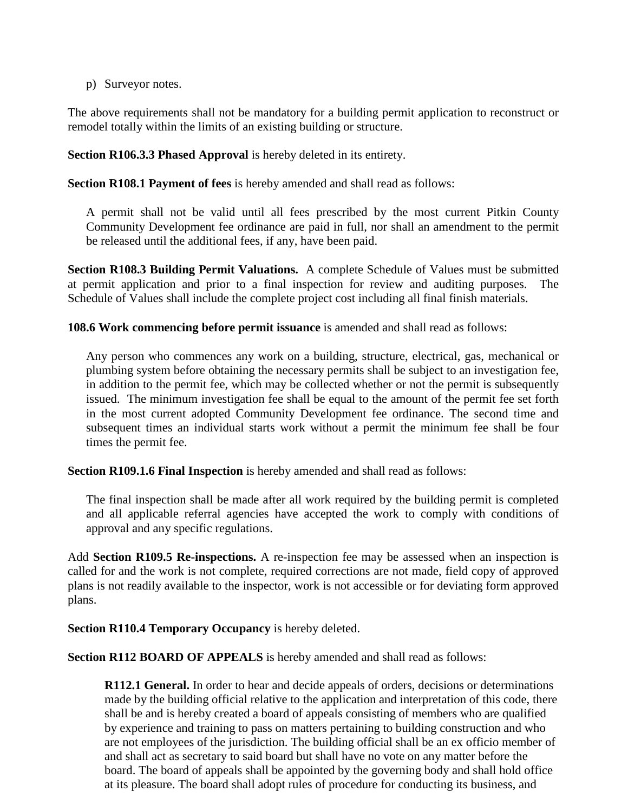p) Surveyor notes.

The above requirements shall not be mandatory for a building permit application to reconstruct or remodel totally within the limits of an existing building or structure.

**Section R106.3.3 Phased Approval** is hereby deleted in its entirety.

**Section R108.1 Payment of fees** is hereby amended and shall read as follows:

A permit shall not be valid until all fees prescribed by the most current Pitkin County Community Development fee ordinance are paid in full, nor shall an amendment to the permit be released until the additional fees, if any, have been paid.

**Section R108.3 Building Permit Valuations.** A complete Schedule of Values must be submitted at permit application and prior to a final inspection for review and auditing purposes. The Schedule of Values shall include the complete project cost including all final finish materials.

**108.6 Work commencing before permit issuance** is amended and shall read as follows:

Any person who commences any work on a building, structure, electrical, gas, mechanical or plumbing system before obtaining the necessary permits shall be subject to an investigation fee, in addition to the permit fee, which may be collected whether or not the permit is subsequently issued. The minimum investigation fee shall be equal to the amount of the permit fee set forth in the most current adopted Community Development fee ordinance. The second time and subsequent times an individual starts work without a permit the minimum fee shall be four times the permit fee.

**Section R109.1.6 Final Inspection** is hereby amended and shall read as follows:

The final inspection shall be made after all work required by the building permit is completed and all applicable referral agencies have accepted the work to comply with conditions of approval and any specific regulations.

Add **Section R109.5 Re-inspections.** A re-inspection fee may be assessed when an inspection is called for and the work is not complete, required corrections are not made, field copy of approved plans is not readily available to the inspector, work is not accessible or for deviating form approved plans.

**Section R110.4 Temporary Occupancy** is hereby deleted.

**Section R112 BOARD OF APPEALS** is hereby amended and shall read as follows:

**R112.1 General.** In order to hear and decide appeals of orders, decisions or determinations made by the building official relative to the application and interpretation of this code, there shall be and is hereby created a board of appeals consisting of members who are qualified by experience and training to pass on matters pertaining to building construction and who are not employees of the jurisdiction. The building official shall be an ex officio member of and shall act as secretary to said board but shall have no vote on any matter before the board. The board of appeals shall be appointed by the governing body and shall hold office at its pleasure. The board shall adopt rules of procedure for conducting its business, and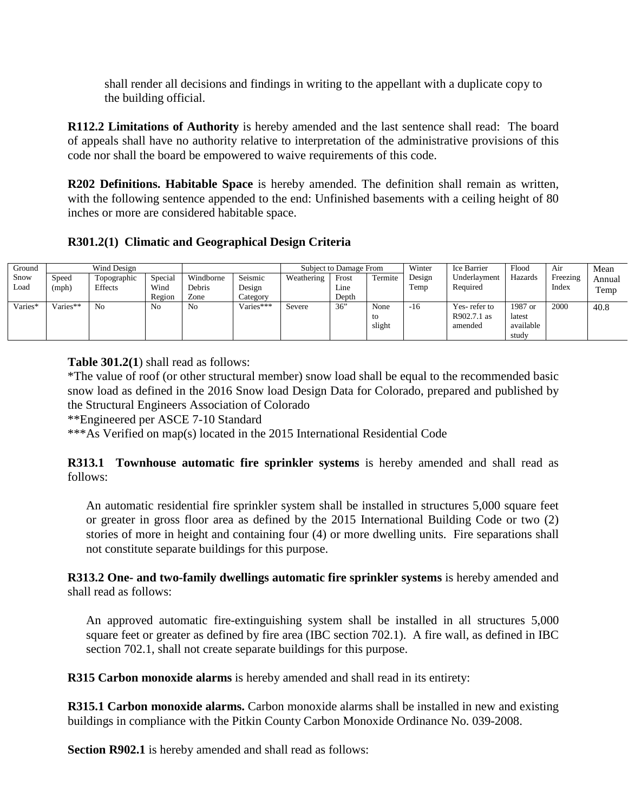shall render all decisions and findings in writing to the appellant with a duplicate copy to the building official.

**R112.2 Limitations of Authority** is hereby amended and the last sentence shall read:The board of appeals shall have no authority relative to interpretation of the administrative provisions of this code nor shall the board be empowered to waive requirements of this code.

**R202 Definitions. Habitable Space** is hereby amended. The definition shall remain as written, with the following sentence appended to the end: Unfinished basements with a ceiling height of 80 inches or more are considered habitable space.

#### **R301.2(1) Climatic and Geographical Design Criteria**

| Ground  |            | Wind Design    |         |           |             | Subject to Damage From |       | Winter  | Ice Barrier | Flood        | Air       | Mean     |        |
|---------|------------|----------------|---------|-----------|-------------|------------------------|-------|---------|-------------|--------------|-----------|----------|--------|
| Snow    | Speed      | Topographic    | Special | Windborne | Seismic     | Weathering             | Frost | Termite | Design      | Underlayment | Hazards   | Freezing | Annual |
| Load    | (mph)      | Effects        | Wind    | Debris    | Design      |                        | Line  |         | Temp        | Required     |           | Index    | Temp   |
|         |            |                | Region  | Zone      | Category    |                        | Depth |         |             |              |           |          |        |
| Varies* | $Varies**$ | N <sub>0</sub> | No      | No        | $Varies***$ | Severe                 | 36"   | None    | $-16$       | Yes-refer to | 1987 or   | 2000     | 40.8   |
|         |            |                |         |           |             |                        |       | to      |             | R902.7.1 as  | latest    |          |        |
|         |            |                |         |           |             |                        |       | slight  |             | amended      | available |          |        |
|         |            |                |         |           |             |                        |       |         |             |              | study     |          |        |

**Table 301.2(1**) shall read as follows:

\*The value of roof (or other structural member) snow load shall be equal to the recommended basic snow load as defined in the 2016 Snow load Design Data for Colorado, prepared and published by the Structural Engineers Association of Colorado

\*\*Engineered per ASCE 7-10 Standard

\*\*\*As Verified on map(s) located in the 2015 International Residential Code

**R313.1 Townhouse automatic fire sprinkler systems** is hereby amended and shall read as follows:

An automatic residential fire sprinkler system shall be installed in structures 5,000 square feet or greater in gross floor area as defined by the 2015 International Building Code or two (2) stories of more in height and containing four (4) or more dwelling units. Fire separations shall not constitute separate buildings for this purpose.

**R313.2 One- and two-family dwellings automatic fire sprinkler systems** is hereby amended and shall read as follows:

An approved automatic fire-extinguishing system shall be installed in all structures 5,000 square feet or greater as defined by fire area (IBC section 702.1). A fire wall, as defined in IBC section 702.1, shall not create separate buildings for this purpose.

**R315 Carbon monoxide alarms** is hereby amended and shall read in its entirety:

**R315.1 Carbon monoxide alarms.** Carbon monoxide alarms shall be installed in new and existing buildings in compliance with the Pitkin County Carbon Monoxide Ordinance No. 039-2008.

**Section R902.1** is hereby amended and shall read as follows: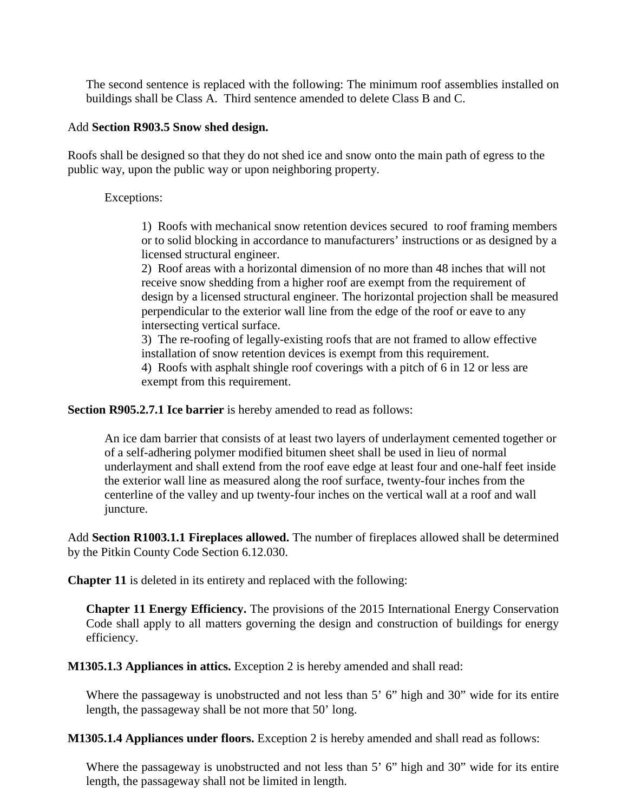The second sentence is replaced with the following: The minimum roof assemblies installed on buildings shall be Class A. Third sentence amended to delete Class B and C.

#### Add **Section R903.5 Snow shed design.**

Roofs shall be designed so that they do not shed ice and snow onto the main path of egress to the public way, upon the public way or upon neighboring property.

Exceptions:

1) Roofs with mechanical snow retention devices secured to roof framing members or to solid blocking in accordance to manufacturers' instructions or as designed by a licensed structural engineer.

2) Roof areas with a horizontal dimension of no more than 48 inches that will not receive snow shedding from a higher roof are exempt from the requirement of design by a licensed structural engineer. The horizontal projection shall be measured perpendicular to the exterior wall line from the edge of the roof or eave to any intersecting vertical surface.

3) The re-roofing of legally-existing roofs that are not framed to allow effective installation of snow retention devices is exempt from this requirement. 4) Roofs with asphalt shingle roof coverings with a pitch of 6 in 12 or less are exempt from this requirement.

**Section R905.2.7.1 Ice barrier** is hereby amended to read as follows:

An ice dam barrier that consists of at least two layers of underlayment cemented together or of a self-adhering polymer modified bitumen sheet shall be used in lieu of normal underlayment and shall extend from the roof eave edge at least four and one-half feet inside the exterior wall line as measured along the roof surface, twenty-four inches from the centerline of the valley and up twenty-four inches on the vertical wall at a roof and wall juncture.

Add **Section R1003.1.1 Fireplaces allowed.** The number of fireplaces allowed shall be determined by the Pitkin County Code Section 6.12.030.

**Chapter 11** is deleted in its entirety and replaced with the following:

**Chapter 11 Energy Efficiency.** The provisions of the 2015 International Energy Conservation Code shall apply to all matters governing the design and construction of buildings for energy efficiency.

**M1305.1.3 Appliances in attics.** Exception 2 is hereby amended and shall read:

Where the passageway is unobstructed and not less than 5' 6" high and 30" wide for its entire length, the passageway shall be not more that 50' long.

**M1305.1.4 Appliances under floors.** Exception 2 is hereby amended and shall read as follows:

Where the passageway is unobstructed and not less than 5' 6" high and 30" wide for its entire length, the passageway shall not be limited in length.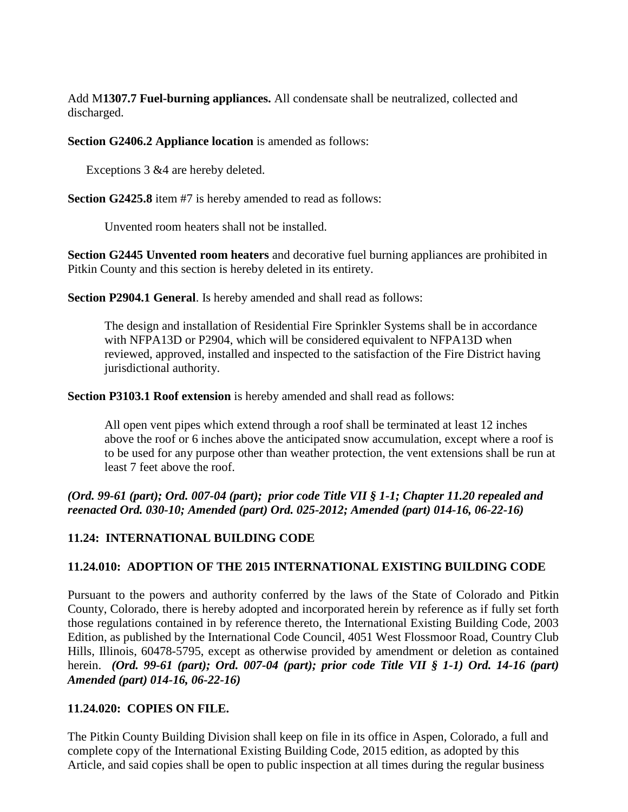Add M**1307.7 Fuel-burning appliances.** All condensate shall be neutralized, collected and discharged.

**Section G2406.2 Appliance location** is amended as follows:

Exceptions 3 &4 are hereby deleted.

**Section G2425.8** item #7 is hereby amended to read as follows:

Unvented room heaters shall not be installed.

**Section G2445 Unvented room heaters** and decorative fuel burning appliances are prohibited in Pitkin County and this section is hereby deleted in its entirety.

**Section P2904.1 General**. Is hereby amended and shall read as follows:

The design and installation of Residential Fire Sprinkler Systems shall be in accordance with NFPA13D or P2904, which will be considered equivalent to NFPA13D when reviewed, approved, installed and inspected to the satisfaction of the Fire District having jurisdictional authority.

**Section P3103.1 Roof extension** is hereby amended and shall read as follows:

All open vent pipes which extend through a roof shall be terminated at least 12 inches above the roof or 6 inches above the anticipated snow accumulation, except where a roof is to be used for any purpose other than weather protection, the vent extensions shall be run at least 7 feet above the roof.

### *(Ord. 99-61 (part); Ord. 007-04 (part); prior code Title VII § 1-1; Chapter 11.20 repealed and reenacted Ord. 030-10; Amended (part) Ord. 025-2012; Amended (part) 014-16, 06-22-16)*

# <span id="page-16-0"></span>**11.24: INTERNATIONAL BUILDING CODE**

### <span id="page-16-1"></span>**11.24.010: ADOPTION OF THE 2015 INTERNATIONAL EXISTING BUILDING CODE**

Pursuant to the powers and authority conferred by the laws of the State of Colorado and Pitkin County, Colorado, there is hereby adopted and incorporated herein by reference as if fully set forth those regulations contained in by reference thereto, the International Existing Building Code, 2003 Edition, as published by the International Code Council, 4051 West Flossmoor Road, Country Club Hills, Illinois, 60478-5795, except as otherwise provided by amendment or deletion as contained herein. *(Ord. 99-61 (part); Ord. 007-04 (part); prior code Title VII § 1-1) Ord. 14-16 (part) Amended (part) 014-16, 06-22-16)*

### <span id="page-16-2"></span>**11.24.020: COPIES ON FILE.**

The Pitkin County Building Division shall keep on file in its office in Aspen, Colorado, a full and complete copy of the International Existing Building Code, 2015 edition, as adopted by this Article, and said copies shall be open to public inspection at all times during the regular business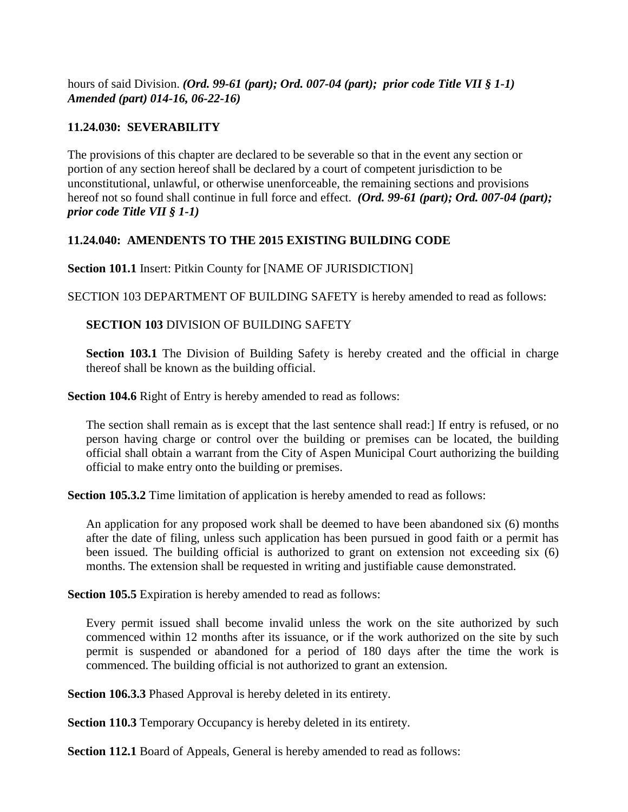hours of said Division. *(Ord. 99-61 (part); Ord. 007-04 (part); prior code Title VII § 1-1) Amended (part) 014-16, 06-22-16)*

#### <span id="page-17-0"></span>**11.24.030: SEVERABILITY**

The provisions of this chapter are declared to be severable so that in the event any section or portion of any section hereof shall be declared by a court of competent jurisdiction to be unconstitutional, unlawful, or otherwise unenforceable, the remaining sections and provisions hereof not so found shall continue in full force and effect. *(Ord. 99-61 (part); Ord. 007-04 (part); prior code Title VII § 1-1)*

#### <span id="page-17-1"></span>**11.24.040: AMENDENTS TO THE 2015 EXISTING BUILDING CODE**

**Section 101.1** Insert: Pitkin County for [NAME OF JURISDICTION]

SECTION 103 DEPARTMENT OF BUILDING SAFETY is hereby amended to read as follows:

**SECTION 103** DIVISION OF BUILDING SAFETY

**Section 103.1** The Division of Building Safety is hereby created and the official in charge thereof shall be known as the building official.

**Section 104.6** Right of Entry is hereby amended to read as follows:

The section shall remain as is except that the last sentence shall read:] If entry is refused, or no person having charge or control over the building or premises can be located, the building official shall obtain a warrant from the City of Aspen Municipal Court authorizing the building official to make entry onto the building or premises.

**Section 105.3.2** Time limitation of application is hereby amended to read as follows:

An application for any proposed work shall be deemed to have been abandoned six (6) months after the date of filing, unless such application has been pursued in good faith or a permit has been issued. The building official is authorized to grant on extension not exceeding six (6) months. The extension shall be requested in writing and justifiable cause demonstrated.

**Section 105.5** Expiration is hereby amended to read as follows:

Every permit issued shall become invalid unless the work on the site authorized by such commenced within 12 months after its issuance, or if the work authorized on the site by such permit is suspended or abandoned for a period of 180 days after the time the work is commenced. The building official is not authorized to grant an extension.

**Section 106.3.3** Phased Approval is hereby deleted in its entirety.

**Section 110.3** Temporary Occupancy is hereby deleted in its entirety.

**Section 112.1** Board of Appeals, General is hereby amended to read as follows: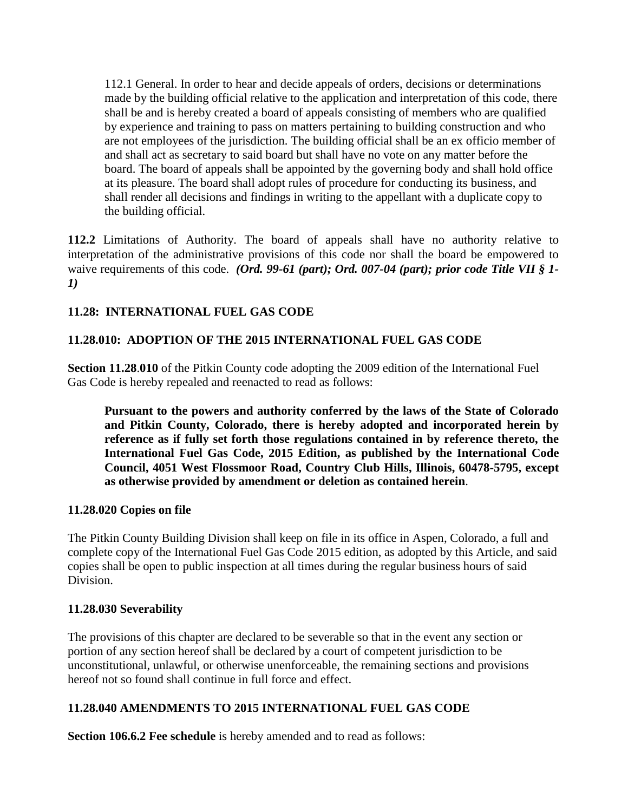112.1 General. In order to hear and decide appeals of orders, decisions or determinations made by the building official relative to the application and interpretation of this code, there shall be and is hereby created a board of appeals consisting of members who are qualified by experience and training to pass on matters pertaining to building construction and who are not employees of the jurisdiction. The building official shall be an ex officio member of and shall act as secretary to said board but shall have no vote on any matter before the board. The board of appeals shall be appointed by the governing body and shall hold office at its pleasure. The board shall adopt rules of procedure for conducting its business, and shall render all decisions and findings in writing to the appellant with a duplicate copy to the building official.

**112.2** Limitations of Authority. The board of appeals shall have no authority relative to interpretation of the administrative provisions of this code nor shall the board be empowered to waive requirements of this code. *(Ord. 99-61 (part); Ord. 007-04 (part); prior code Title VII § 1- 1)*

### <span id="page-18-0"></span>**11.28: INTERNATIONAL FUEL GAS CODE**

### <span id="page-18-1"></span>**11.28.010: ADOPTION OF THE 2015 INTERNATIONAL FUEL GAS CODE**

**Section 11.28**.**010** of the Pitkin County code adopting the 2009 edition of the International Fuel Gas Code is hereby repealed and reenacted to read as follows:

**Pursuant to the powers and authority conferred by the laws of the State of Colorado and Pitkin County, Colorado, there is hereby adopted and incorporated herein by reference as if fully set forth those regulations contained in by reference thereto, the International Fuel Gas Code, 2015 Edition, as published by the International Code Council, 4051 West Flossmoor Road, Country Club Hills, Illinois, 60478-5795, except as otherwise provided by amendment or deletion as contained herein**.

#### **11.28.020 Copies on file**

The Pitkin County Building Division shall keep on file in its office in Aspen, Colorado, a full and complete copy of the International Fuel Gas Code 2015 edition, as adopted by this Article, and said copies shall be open to public inspection at all times during the regular business hours of said Division.

#### **11.28.030 Severability**

The provisions of this chapter are declared to be severable so that in the event any section or portion of any section hereof shall be declared by a court of competent jurisdiction to be unconstitutional, unlawful, or otherwise unenforceable, the remaining sections and provisions hereof not so found shall continue in full force and effect.

### **11.28.040 AMENDMENTS TO 2015 INTERNATIONAL FUEL GAS CODE**

**Section 106.6.2 Fee schedule** is hereby amended and to read as follows: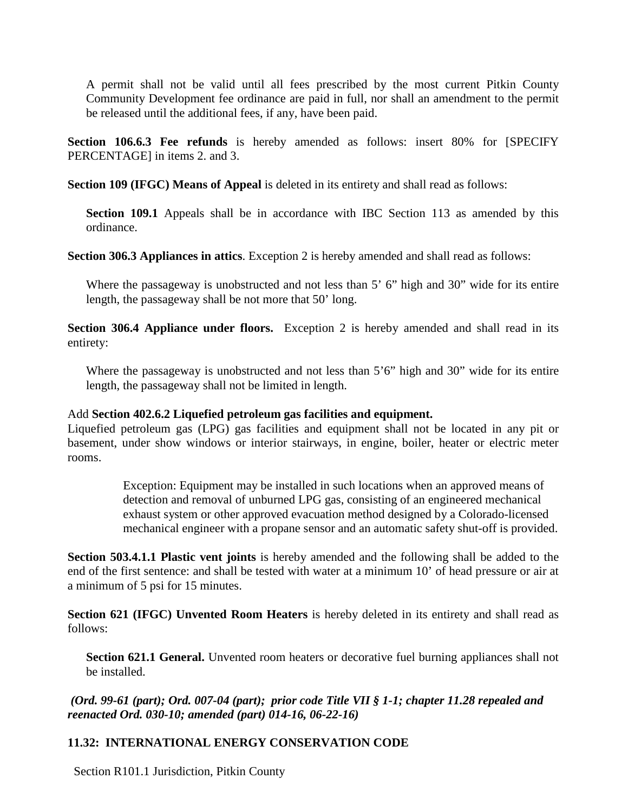A permit shall not be valid until all fees prescribed by the most current Pitkin County Community Development fee ordinance are paid in full, nor shall an amendment to the permit be released until the additional fees, if any, have been paid.

**Section 106.6.3 Fee refunds** is hereby amended as follows: insert 80% for [SPECIFY PERCENTAGE] in items 2. and 3.

**Section 109 (IFGC) Means of Appeal** is deleted in its entirety and shall read as follows:

**Section 109.1** Appeals shall be in accordance with IBC Section 113 as amended by this ordinance.

**Section 306.3 Appliances in attics**. Exception 2 is hereby amended and shall read as follows:

Where the passageway is unobstructed and not less than 5' 6" high and 30" wide for its entire length, the passageway shall be not more that 50' long.

**Section 306.4 Appliance under floors.** Exception 2 is hereby amended and shall read in its entirety:

Where the passageway is unobstructed and not less than 5'6" high and 30" wide for its entire length, the passageway shall not be limited in length.

#### Add **Section 402.6.2 Liquefied petroleum gas facilities and equipment.**

Liquefied petroleum gas (LPG) gas facilities and equipment shall not be located in any pit or basement, under show windows or interior stairways, in engine, boiler, heater or electric meter rooms.

> Exception: Equipment may be installed in such locations when an approved means of detection and removal of unburned LPG gas, consisting of an engineered mechanical exhaust system or other approved evacuation method designed by a Colorado-licensed mechanical engineer with a propane sensor and an automatic safety shut-off is provided.

**Section 503.4.1.1 Plastic vent joints** is hereby amended and the following shall be added to the end of the first sentence: and shall be tested with water at a minimum 10' of head pressure or air at a minimum of 5 psi for 15 minutes.

**Section 621 (IFGC) Unvented Room Heaters** is hereby deleted in its entirety and shall read as follows:

**Section 621.1 General.** Unvented room heaters or decorative fuel burning appliances shall not be installed.

*(Ord. 99-61 (part); Ord. 007-04 (part); prior code Title VII § 1-1; chapter 11.28 repealed and reenacted Ord. 030-10; amended (part) 014-16, 06-22-16)*

### <span id="page-19-0"></span>**11.32: INTERNATIONAL ENERGY CONSERVATION CODE**

Section R101.1 Jurisdiction, Pitkin County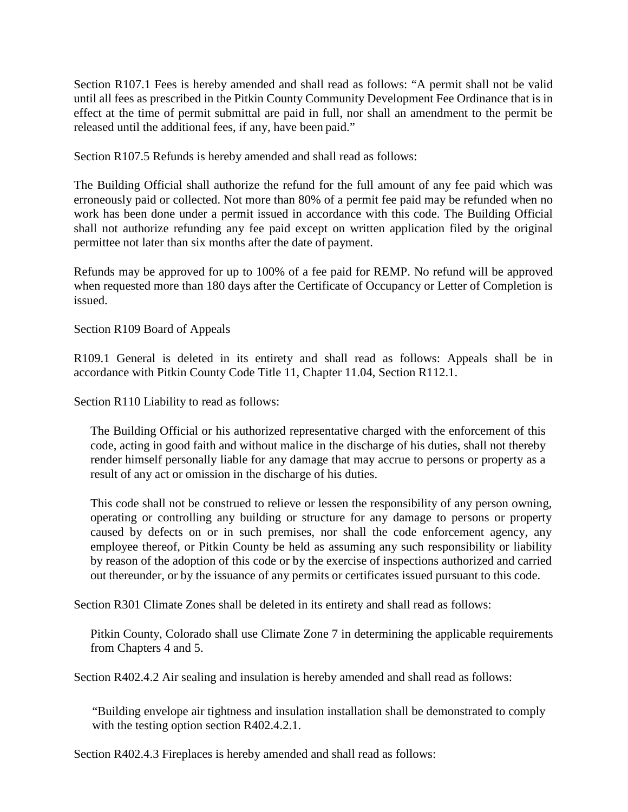Section R107.1 Fees is hereby amended and shall read as follows: "A permit shall not be valid until all fees as prescribed in the Pitkin County Community Development Fee Ordinance that is in effect at the time of permit submittal are paid in full, nor shall an amendment to the permit be released until the additional fees, if any, have been paid."

Section R107.5 Refunds is hereby amended and shall read as follows:

The Building Official shall authorize the refund for the full amount of any fee paid which was erroneously paid or collected. Not more than 80% of a permit fee paid may be refunded when no work has been done under a permit issued in accordance with this code. The Building Official shall not authorize refunding any fee paid except on written application filed by the original permittee not later than six months after the date of payment.

Refunds may be approved for up to 100% of a fee paid for REMP. No refund will be approved when requested more than 180 days after the Certificate of Occupancy or Letter of Completion is issued.

Section R109 Board of Appeals

R109.1 General is deleted in its entirety and shall read as follows: Appeals shall be in accordance with Pitkin County Code Title 11, Chapter 11.04, Section R112.1.

Section R110 Liability to read as follows:

The Building Official or his authorized representative charged with the enforcement of this code, acting in good faith and without malice in the discharge of his duties, shall not thereby render himself personally liable for any damage that may accrue to persons or property as a result of any act or omission in the discharge of his duties.

This code shall not be construed to relieve or lessen the responsibility of any person owning, operating or controlling any building or structure for any damage to persons or property caused by defects on or in such premises, nor shall the code enforcement agency, any employee thereof, or Pitkin County be held as assuming any such responsibility or liability by reason of the adoption of this code or by the exercise of inspections authorized and carried out thereunder, or by the issuance of any permits or certificates issued pursuant to this code.

Section R301 Climate Zones shall be deleted in its entirety and shall read as follows:

Pitkin County, Colorado shall use Climate Zone 7 in determining the applicable requirements from Chapters 4 and 5.

Section R402.4.2 Air sealing and insulation is hereby amended and shall read as follows:

"Building envelope air tightness and insulation installation shall be demonstrated to comply with the testing option section R402.4.2.1.

Section R402.4.3 Fireplaces is hereby amended and shall read as follows: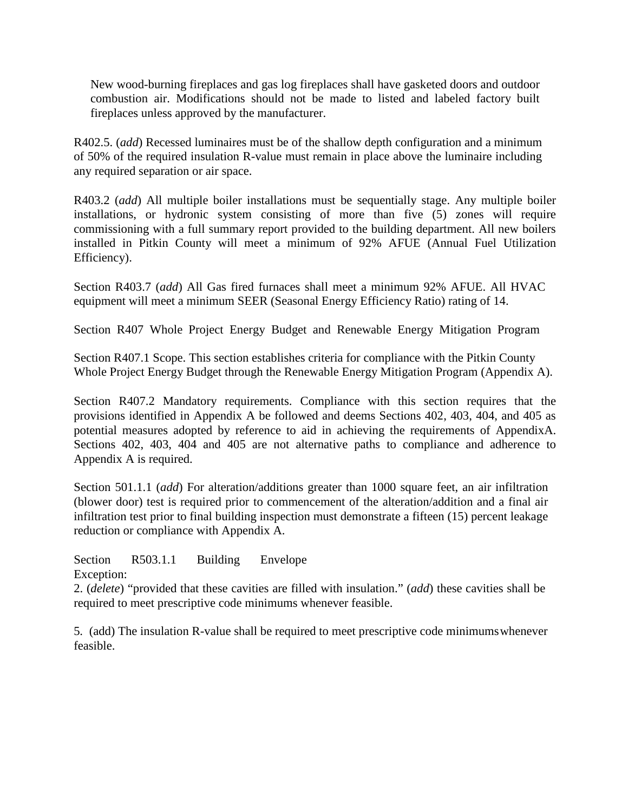New wood-burning fireplaces and gas log fireplaces shall have gasketed doors and outdoor combustion air. Modifications should not be made to listed and labeled factory built fireplaces unless approved by the manufacturer.

R402.5. (*add*) Recessed luminaires must be of the shallow depth configuration and a minimum of 50% of the required insulation R-value must remain in place above the luminaire including any required separation or air space.

R403.2 (*add*) All multiple boiler installations must be sequentially stage. Any multiple boiler installations, or hydronic system consisting of more than five (5) zones will require commissioning with a full summary report provided to the building department. All new boilers installed in Pitkin County will meet a minimum of 92% AFUE (Annual Fuel Utilization Efficiency).

Section R403.7 (*add*) All Gas fired furnaces shall meet a minimum 92% AFUE. All HVAC equipment will meet a minimum SEER (Seasonal Energy Efficiency Ratio) rating of 14.

Section R407 Whole Project Energy Budget and Renewable Energy Mitigation Program

Section R407.1 Scope. This section establishes criteria for compliance with the Pitkin County Whole Project Energy Budget through the Renewable Energy Mitigation Program (Appendix A).

Section R407.2 Mandatory requirements. Compliance with this section requires that the provisions identified in Appendix A be followed and deems Sections 402, 403, 404, and 405 as potential measures adopted by reference to aid in achieving the requirements of AppendixA. Sections 402, 403, 404 and 405 are not alternative paths to compliance and adherence to Appendix A is required.

Section 501.1.1 (*add*) For alteration/additions greater than 1000 square feet, an air infiltration (blower door) test is required prior to commencement of the alteration/addition and a final air infiltration test prior to final building inspection must demonstrate a fifteen (15) percent leakage reduction or compliance with Appendix A.

Section R503.1.1 Building Envelope

Exception:

2. (*delete*) "provided that these cavities are filled with insulation." (*add*) these cavities shall be required to meet prescriptive code minimums whenever feasible.

5. (add) The insulation R-value shall be required to meet prescriptive code minimumswhenever feasible.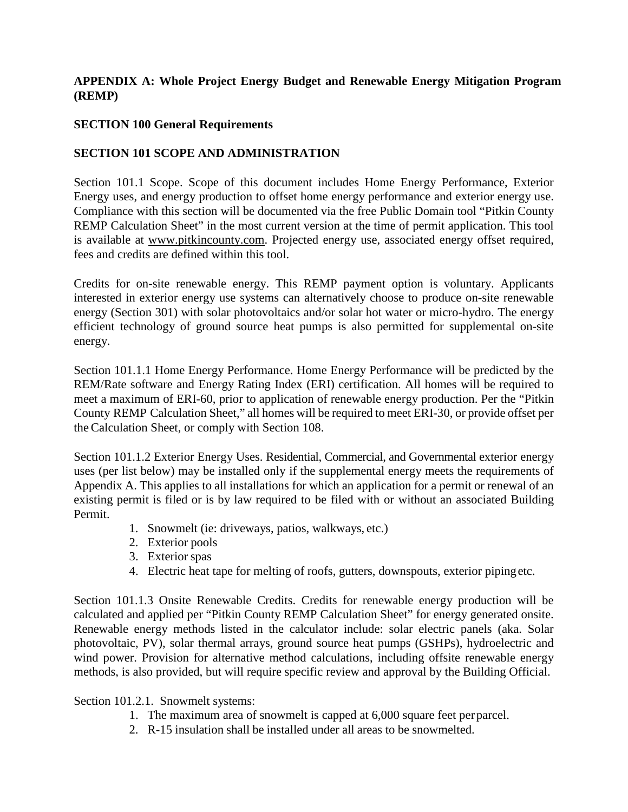### **APPENDIX A: Whole Project Energy Budget and Renewable Energy Mitigation Program (REMP)**

#### **SECTION 100 General Requirements**

### **SECTION 101 SCOPE AND ADMINISTRATION**

Section 101.1 Scope. Scope of this document includes Home Energy Performance, Exterior Energy uses, and energy production to offset home energy performance and exterior energy use. Compliance with this section will be documented via the free Public Domain tool "Pitkin County REMP Calculation Sheet" in the most current version at the time of permit application. This tool is available at [www.pitkincounty.com.](http://www.pitkincounty.com/) Projected energy use, associated energy offset required, fees and credits are defined within this tool.

Credits for on-site renewable energy. This REMP payment option is voluntary. Applicants interested in exterior energy use systems can alternatively choose to produce on-site renewable energy (Section 301) with solar photovoltaics and/or solar hot water or micro-hydro. The energy efficient technology of ground source heat pumps is also permitted for supplemental on-site energy.

Section 101.1.1 Home Energy Performance. Home Energy Performance will be predicted by the REM/Rate software and Energy Rating Index (ERI) certification. All homes will be required to meet a maximum of ERI-60, prior to application of renewable energy production. Per the "Pitkin County REMP Calculation Sheet," all homes will be required to meet ERI-30, or provide offset per theCalculation Sheet, or comply with Section 108.

Section 101.1.2 Exterior Energy Uses. Residential, Commercial, and Governmental exterior energy uses (per list below) may be installed only if the supplemental energy meets the requirements of Appendix A. This applies to all installations for which an application for a permit or renewal of an existing permit is filed or is by law required to be filed with or without an associated Building Permit.

- 1. Snowmelt (ie: driveways, patios, walkways, etc.)
- 2. Exterior pools
- 3. Exterior spas
- 4. Electric heat tape for melting of roofs, gutters, downspouts, exterior pipingetc.

Section 101.1.3 Onsite Renewable Credits. Credits for renewable energy production will be calculated and applied per "Pitkin County REMP Calculation Sheet" for energy generated onsite. Renewable energy methods listed in the calculator include: solar electric panels (aka. Solar photovoltaic, PV), solar thermal arrays, ground source heat pumps (GSHPs), hydroelectric and wind power. Provision for alternative method calculations, including offsite renewable energy methods, is also provided, but will require specific review and approval by the Building Official.

#### Section 101.2.1. Snowmelt systems:

- 1. The maximum area of snowmelt is capped at 6,000 square feet perparcel.
- 2. R-15 insulation shall be installed under all areas to be snowmelted.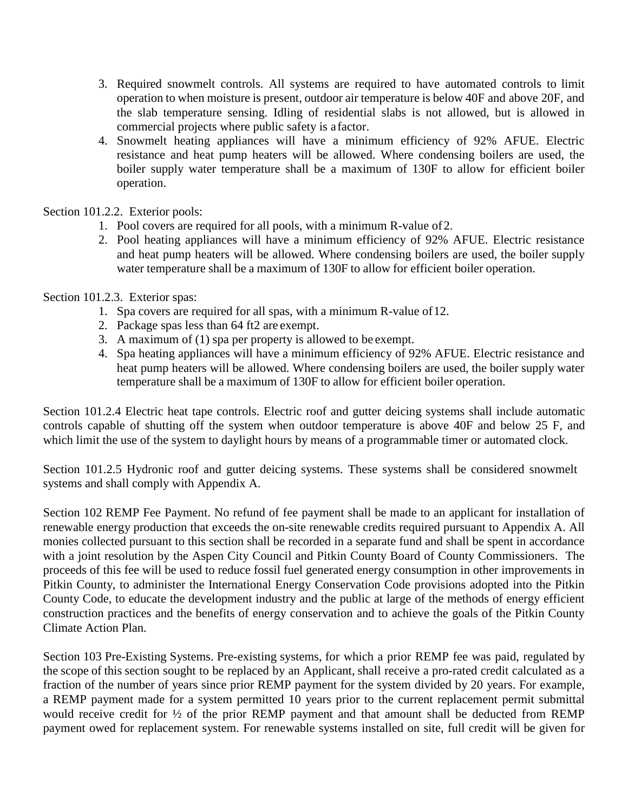- 3. Required snowmelt controls. All systems are required to have automated controls to limit operation to when moisture is present, outdoor air temperature is below 40F and above 20F, and the slab temperature sensing. Idling of residential slabs is not allowed, but is allowed in commercial projects where public safety is afactor.
- 4. Snowmelt heating appliances will have a minimum efficiency of 92% AFUE. Electric resistance and heat pump heaters will be allowed. Where condensing boilers are used, the boiler supply water temperature shall be a maximum of 130F to allow for efficient boiler operation.

Section 101.2.2. Exterior pools:

- 1. Pool covers are required for all pools, with a minimum R-value of2.
- 2. Pool heating appliances will have a minimum efficiency of 92% AFUE. Electric resistance and heat pump heaters will be allowed. Where condensing boilers are used, the boiler supply water temperature shall be a maximum of 130F to allow for efficient boiler operation.

Section 101.2.3. Exterior spas:

- 1. Spa covers are required for all spas, with a minimum R-value of12.
- 2. Package spas less than 64 ft2 are exempt.
- 3. A maximum of (1) spa per property is allowed to be exempt.
- 4. Spa heating appliances will have a minimum efficiency of 92% AFUE. Electric resistance and heat pump heaters will be allowed. Where condensing boilers are used, the boiler supply water temperature shall be a maximum of 130F to allow for efficient boiler operation.

Section 101.2.4 Electric heat tape controls. Electric roof and gutter deicing systems shall include automatic controls capable of shutting off the system when outdoor temperature is above 40F and below 25 F, and which limit the use of the system to daylight hours by means of a programmable timer or automated clock.

Section 101.2.5 Hydronic roof and gutter deicing systems. These systems shall be considered snowmelt systems and shall comply with Appendix A.

Section 102 REMP Fee Payment. No refund of fee payment shall be made to an applicant for installation of renewable energy production that exceeds the on-site renewable credits required pursuant to Appendix A. All monies collected pursuant to this section shall be recorded in a separate fund and shall be spent in accordance with a joint resolution by the Aspen City Council and Pitkin County Board of County Commissioners. The proceeds of this fee will be used to reduce fossil fuel generated energy consumption in other improvements in Pitkin County, to administer the International Energy Conservation Code provisions adopted into the Pitkin County Code, to educate the development industry and the public at large of the methods of energy efficient construction practices and the benefits of energy conservation and to achieve the goals of the Pitkin County Climate Action Plan.

Section 103 Pre-Existing Systems. Pre-existing systems, for which a prior REMP fee was paid, regulated by the scope of this section sought to be replaced by an Applicant, shall receive a pro-rated credit calculated as a fraction of the number of years since prior REMP payment for the system divided by 20 years. For example, a REMP payment made for a system permitted 10 years prior to the current replacement permit submittal would receive credit for ½ of the prior REMP payment and that amount shall be deducted from REMP payment owed for replacement system. For renewable systems installed on site, full credit will be given for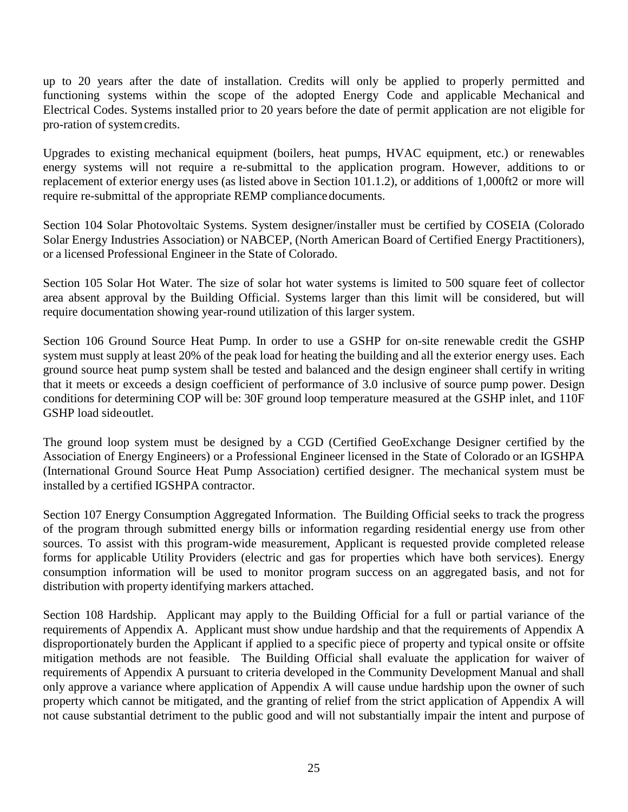up to 20 years after the date of installation. Credits will only be applied to properly permitted and functioning systems within the scope of the adopted Energy Code and applicable Mechanical and Electrical Codes. Systems installed prior to 20 years before the date of permit application are not eligible for pro-ration of systemcredits.

Upgrades to existing mechanical equipment (boilers, heat pumps, HVAC equipment, etc.) or renewables energy systems will not require a re-submittal to the application program. However, additions to or replacement of exterior energy uses (as listed above in Section 101.1.2), or additions of 1,000ft2 or more will require re-submittal of the appropriate REMP compliance documents.

Section 104 Solar Photovoltaic Systems. System designer/installer must be certified by COSEIA (Colorado Solar Energy Industries Association) or NABCEP, (North American Board of Certified Energy Practitioners), or a licensed Professional Engineer in the State of Colorado.

Section 105 Solar Hot Water. The size of solar hot water systems is limited to 500 square feet of collector area absent approval by the Building Official. Systems larger than this limit will be considered, but will require documentation showing year-round utilization of this larger system.

Section 106 Ground Source Heat Pump. In order to use a GSHP for on-site renewable credit the GSHP system must supply at least 20% of the peak load for heating the building and all the exterior energy uses. Each ground source heat pump system shall be tested and balanced and the design engineer shall certify in writing that it meets or exceeds a design coefficient of performance of 3.0 inclusive of source pump power. Design conditions for determining COP will be: 30F ground loop temperature measured at the GSHP inlet, and 110F GSHP load sideoutlet.

The ground loop system must be designed by a CGD (Certified GeoExchange Designer certified by the Association of Energy Engineers) or a Professional Engineer licensed in the State of Colorado or an IGSHPA (International Ground Source Heat Pump Association) certified designer. The mechanical system must be installed by a certified IGSHPA contractor.

Section 107 Energy Consumption Aggregated Information. The Building Official seeks to track the progress of the program through submitted energy bills or information regarding residential energy use from other sources. To assist with this program-wide measurement, Applicant is requested provide completed release forms for applicable Utility Providers (electric and gas for properties which have both services). Energy consumption information will be used to monitor program success on an aggregated basis, and not for distribution with property identifying markers attached.

Section 108 Hardship. Applicant may apply to the Building Official for a full or partial variance of the requirements of Appendix A. Applicant must show undue hardship and that the requirements of Appendix A disproportionately burden the Applicant if applied to a specific piece of property and typical onsite or offsite mitigation methods are not feasible. The Building Official shall evaluate the application for waiver of requirements of Appendix A pursuant to criteria developed in the Community Development Manual and shall only approve a variance where application of Appendix A will cause undue hardship upon the owner of such property which cannot be mitigated, and the granting of relief from the strict application of Appendix A will not cause substantial detriment to the public good and will not substantially impair the intent and purpose of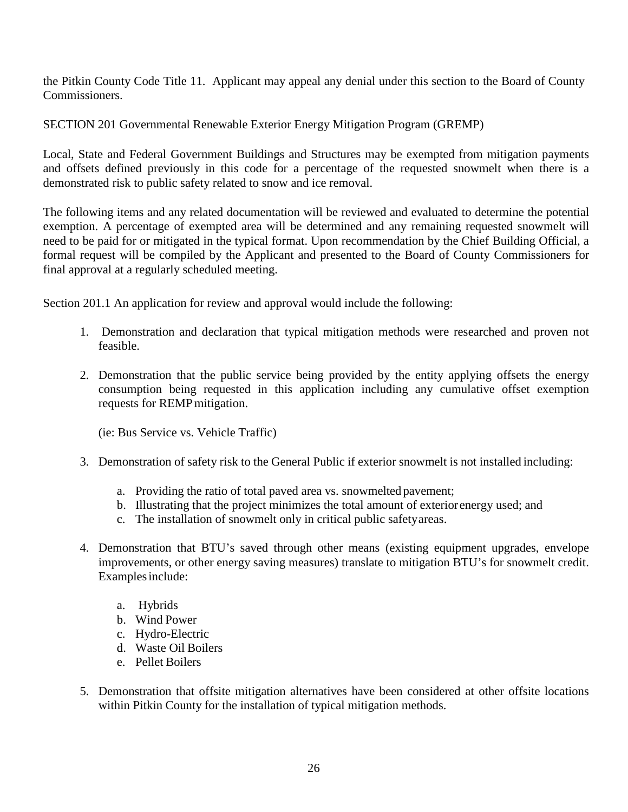the Pitkin County Code Title 11. Applicant may appeal any denial under this section to the Board of County Commissioners.

SECTION 201 Governmental Renewable Exterior Energy Mitigation Program (GREMP)

Local, State and Federal Government Buildings and Structures may be exempted from mitigation payments and offsets defined previously in this code for a percentage of the requested snowmelt when there is a demonstrated risk to public safety related to snow and ice removal.

The following items and any related documentation will be reviewed and evaluated to determine the potential exemption. A percentage of exempted area will be determined and any remaining requested snowmelt will need to be paid for or mitigated in the typical format. Upon recommendation by the Chief Building Official, a formal request will be compiled by the Applicant and presented to the Board of County Commissioners for final approval at a regularly scheduled meeting.

Section 201.1 An application for review and approval would include the following:

- 1. Demonstration and declaration that typical mitigation methods were researched and proven not feasible.
- 2. Demonstration that the public service being provided by the entity applying offsets the energy consumption being requested in this application including any cumulative offset exemption requests for REMPmitigation.

(ie: Bus Service vs. Vehicle Traffic)

- 3. Demonstration of safety risk to the General Public if exterior snowmelt is not installed including:
	- a. Providing the ratio of total paved area vs. snowmelted pavement;
	- b. Illustrating that the project minimizes the total amount of exteriorenergy used; and
	- c. The installation of snowmelt only in critical public safetyareas.
- 4. Demonstration that BTU's saved through other means (existing equipment upgrades, envelope improvements, or other energy saving measures) translate to mitigation BTU's for snowmelt credit. Examplesinclude:
	- a. Hybrids
	- b. Wind Power
	- c. Hydro-Electric
	- d. Waste Oil Boilers
	- e. Pellet Boilers
- 5. Demonstration that offsite mitigation alternatives have been considered at other offsite locations within Pitkin County for the installation of typical mitigation methods.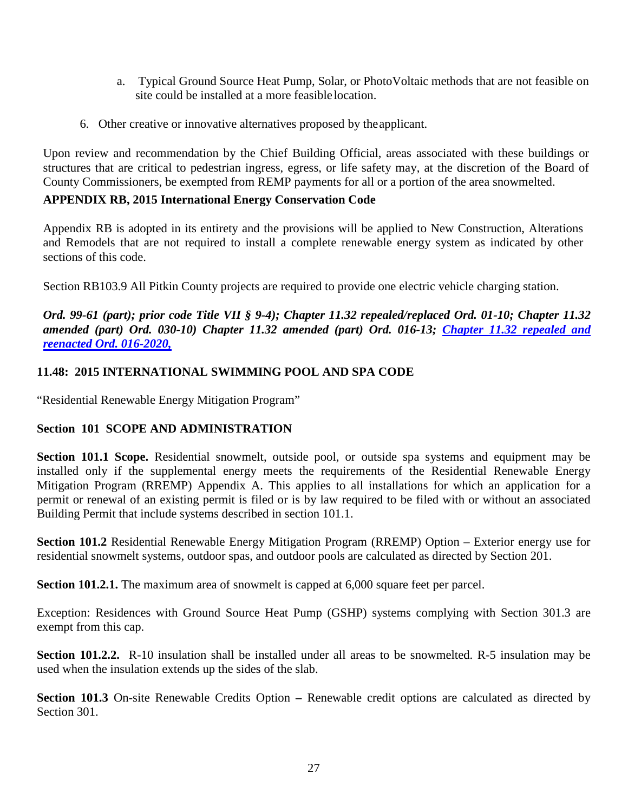- a. Typical Ground Source Heat Pump, Solar, or PhotoVoltaic methods that are not feasible on site could be installed at a more feasible location.
- 6. Other creative or innovative alternatives proposed by theapplicant.

Upon review and recommendation by the Chief Building Official, areas associated with these buildings or structures that are critical to pedestrian ingress, egress, or life safety may, at the discretion of the Board of County Commissioners, be exempted from REMP payments for all or a portion of the area snowmelted.

# **APPENDIX RB, 2015 International Energy Conservation Code**

Appendix RB is adopted in its entirety and the provisions will be applied to New Construction, Alterations and Remodels that are not required to install a complete renewable energy system as indicated by other sections of this code.

Section RB103.9 All Pitkin County projects are required to provide one electric vehicle charging station.

*Ord. 99-61 (part); prior code Title VII § 9-4); Chapter 11.32 repealed/replaced Ord. 01-10; Chapter 11.32 amended (part) Ord. 030-10) Chapter 11.32 amended (part) Ord. 016-13; [Chapter 11.32 repealed and](https://pitkincounty.com/DocumentCenter/View/25968/boccord0162020)  [reenacted Ord. 016-2020,](https://pitkincounty.com/DocumentCenter/View/25968/boccord0162020)*

# **11.48: 2015 INTERNATIONAL SWIMMING POOL AND SPA CODE**

"Residential Renewable Energy Mitigation Program"

# **Section 101 SCOPE AND ADMINISTRATION**

**Section 101.1 Scope.** Residential snowmelt, outside pool, or outside spa systems and equipment may be installed only if the supplemental energy meets the requirements of the Residential Renewable Energy Mitigation Program (RREMP) Appendix A. This applies to all installations for which an application for a permit or renewal of an existing permit is filed or is by law required to be filed with or without an associated Building Permit that include systems described in section 101.1.

**Section 101.2** Residential Renewable Energy Mitigation Program (RREMP) Option – Exterior energy use for residential snowmelt systems, outdoor spas, and outdoor pools are calculated as directed by Section 201.

**Section 101.2.1.** The maximum area of snowmelt is capped at 6,000 square feet per parcel.

Exception: Residences with Ground Source Heat Pump (GSHP) systems complying with Section 301.3 are exempt from this cap.

**Section 101.2.2.** R-10 insulation shall be installed under all areas to be snowmelted. R-5 insulation may be used when the insulation extends up the sides of the slab.

**Section 101.3** On-site Renewable Credits Option **–** Renewable credit options are calculated as directed by Section 301.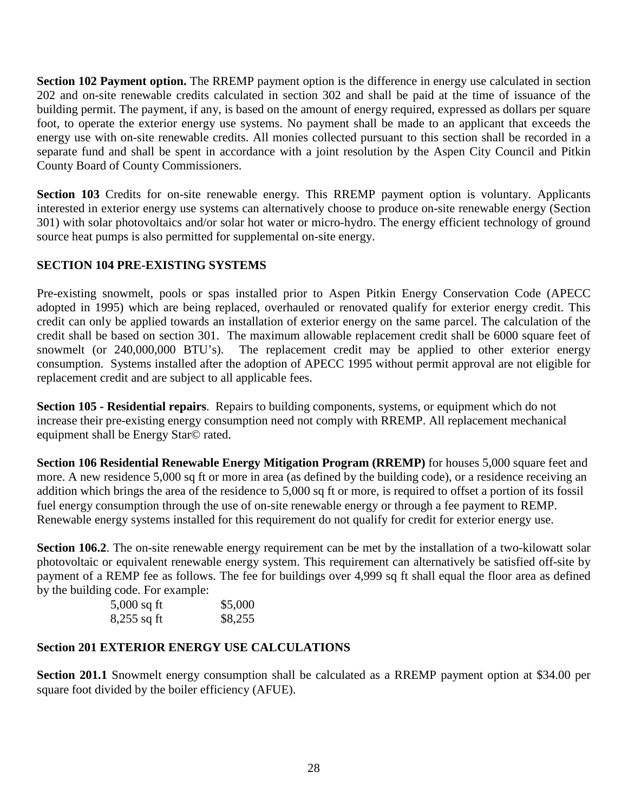**Section 102 Payment option.** The RREMP payment option is the difference in energy use calculated in section 202 and on-site renewable credits calculated in section 302 and shall be paid at the time of issuance of the building permit. The payment, if any, is based on the amount of energy required, expressed as dollars per square foot, to operate the exterior energy use systems. No payment shall be made to an applicant that exceeds the energy use with on-site renewable credits. All monies collected pursuant to this section shall be recorded in a separate fund and shall be spent in accordance with a joint resolution by the Aspen City Council and Pitkin County Board of County Commissioners.

**Section 103** Credits for on-site renewable energy. This RREMP payment option is voluntary. Applicants interested in exterior energy use systems can alternatively choose to produce on-site renewable energy (Section 301) with solar photovoltaics and/or solar hot water or micro-hydro. The energy efficient technology of ground source heat pumps is also permitted for supplemental on-site energy.

# **SECTION 104 PRE-EXISTING SYSTEMS**

Pre-existing snowmelt, pools or spas installed prior to Aspen Pitkin Energy Conservation Code (APECC adopted in 1995) which are being replaced, overhauled or renovated qualify for exterior energy credit. This credit can only be applied towards an installation of exterior energy on the same parcel. The calculation of the credit shall be based on section 301. The maximum allowable replacement credit shall be 6000 square feet of snowmelt (or 240,000,000 BTU's). The replacement credit may be applied to other exterior energy consumption. Systems installed after the adoption of APECC 1995 without permit approval are not eligible for replacement credit and are subject to all applicable fees.

**Section 105 - Residential repairs**. Repairs to building components, systems, or equipment which do not increase their pre-existing energy consumption need not comply with RREMP. All replacement mechanical equipment shall be Energy Star© rated.

**Section 106 Residential Renewable Energy Mitigation Program (RREMP)** for houses 5,000 square feet and more. A new residence 5,000 sq ft or more in area (as defined by the building code), or a residence receiving an addition which brings the area of the residence to 5,000 sq ft or more, is required to offset a portion of its fossil fuel energy consumption through the use of on-site renewable energy or through a fee payment to REMP. Renewable energy systems installed for this requirement do not qualify for credit for exterior energy use.

**Section 106.2**. The on-site renewable energy requirement can be met by the installation of a two-kilowatt solar photovoltaic or equivalent renewable energy system. This requirement can alternatively be satisfied off-site by payment of a REMP fee as follows. The fee for buildings over 4,999 sq ft shall equal the floor area as defined by the building code. For example:

| $5,000$ sq ft | \$5,000 |
|---------------|---------|
| $8,255$ sq ft | \$8,255 |

### **Section 201 EXTERIOR ENERGY USE CALCULATIONS**

**Section 201.1** Snowmelt energy consumption shall be calculated as a RREMP payment option at \$34.00 per square foot divided by the boiler efficiency (AFUE).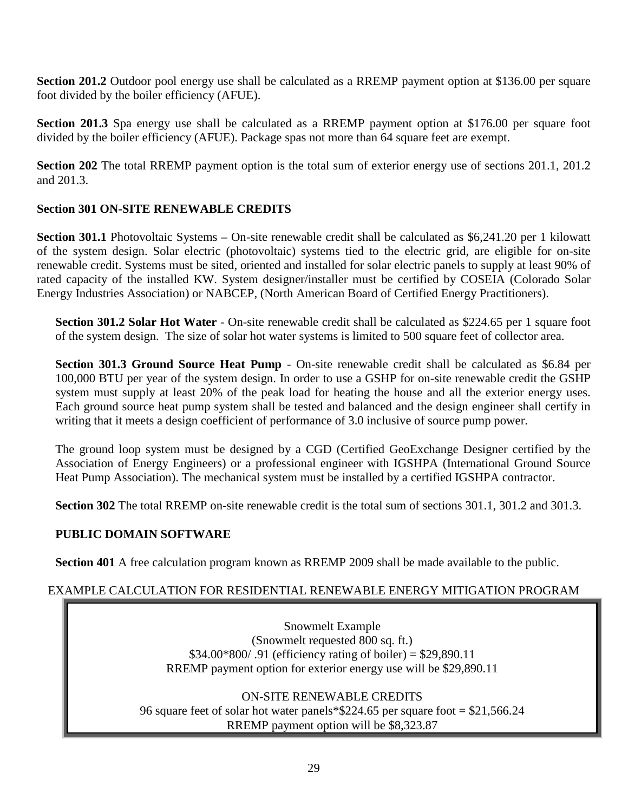**Section 201.2** Outdoor pool energy use shall be calculated as a RREMP payment option at \$136.00 per square foot divided by the boiler efficiency (AFUE).

**Section 201.3** Spa energy use shall be calculated as a RREMP payment option at \$176.00 per square foot divided by the boiler efficiency (AFUE). Package spas not more than 64 square feet are exempt.

**Section 202** The total RREMP payment option is the total sum of exterior energy use of sections 201.1, 201.2 and 201.3.

# **Section 301 ON-SITE RENEWABLE CREDITS**

**Section 301.1** Photovoltaic Systems **–** On-site renewable credit shall be calculated as \$6,241.20 per 1 kilowatt of the system design. Solar electric (photovoltaic) systems tied to the electric grid, are eligible for on-site renewable credit. Systems must be sited, oriented and installed for solar electric panels to supply at least 90% of rated capacity of the installed KW. System designer/installer must be certified by COSEIA (Colorado Solar Energy Industries Association) or NABCEP, (North American Board of Certified Energy Practitioners).

**Section 301.2 Solar Hot Water** - On-site renewable credit shall be calculated as \$224.65 per 1 square foot of the system design. The size of solar hot water systems is limited to 500 square feet of collector area.

**Section 301.3 Ground Source Heat Pump** - On-site renewable credit shall be calculated as \$6.84 per 100,000 BTU per year of the system design. In order to use a GSHP for on-site renewable credit the GSHP system must supply at least 20% of the peak load for heating the house and all the exterior energy uses. Each ground source heat pump system shall be tested and balanced and the design engineer shall certify in writing that it meets a design coefficient of performance of 3.0 inclusive of source pump power.

The ground loop system must be designed by a CGD (Certified GeoExchange Designer certified by the Association of Energy Engineers) or a professional engineer with IGSHPA (International Ground Source Heat Pump Association). The mechanical system must be installed by a certified IGSHPA contractor.

**Section 302** The total RREMP on-site renewable credit is the total sum of sections 301.1, 301.2 and 301.3.

# **PUBLIC DOMAIN SOFTWARE**

**Section 401** A free calculation program known as RREMP 2009 shall be made available to the public.

# EXAMPLE CALCULATION FOR RESIDENTIAL RENEWABLE ENERGY MITIGATION PROGRAM

Snowmelt Example (Snowmelt requested 800 sq. ft.) \$34.00\*800/ .91 (efficiency rating of boiler) = \$29,890.11 RREMP payment option for exterior energy use will be \$29,890.11

ON-SITE RENEWABLE CREDITS 96 square feet of solar hot water panels\*\$224.65 per square foot = \$21,566.24 RREMP payment option will be \$8,323.87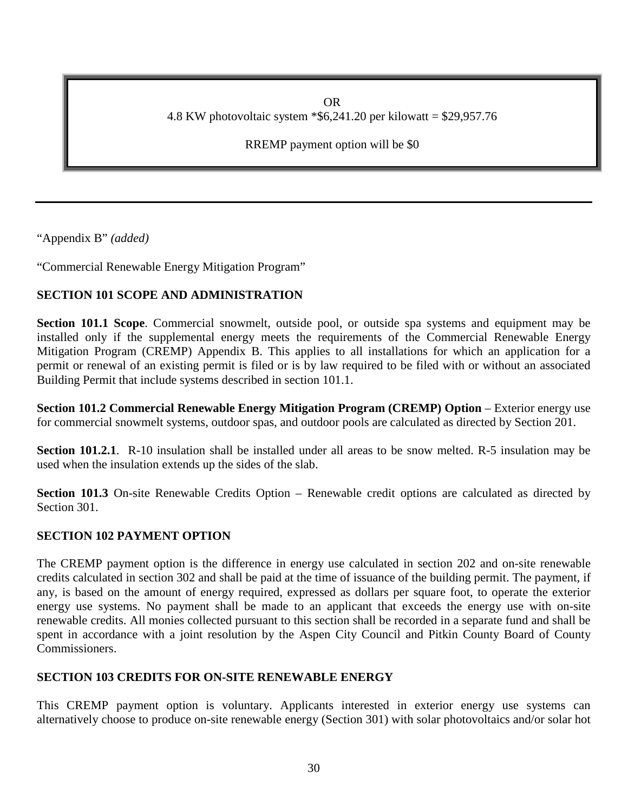OR 4.8 KW photovoltaic system \*\$6,241.20 per kilowatt = \$29,957.76

RREMP payment option will be \$0

"Appendix B" *(added)*

"Commercial Renewable Energy Mitigation Program"

# **SECTION 101 SCOPE AND ADMINISTRATION**

**Section 101.1 Scope**. Commercial snowmelt, outside pool, or outside spa systems and equipment may be installed only if the supplemental energy meets the requirements of the Commercial Renewable Energy Mitigation Program (CREMP) Appendix B. This applies to all installations for which an application for a permit or renewal of an existing permit is filed or is by law required to be filed with or without an associated Building Permit that include systems described in section 101.1.

**Section 101.2 Commercial Renewable Energy Mitigation Program (CREMP) Option** – Exterior energy use for commercial snowmelt systems, outdoor spas, and outdoor pools are calculated as directed by Section 201.

**Section 101.2.1**. R-10 insulation shall be installed under all areas to be snow melted. R-5 insulation may be used when the insulation extends up the sides of the slab.

Section 101.3 On-site Renewable Credits Option – Renewable credit options are calculated as directed by Section 301.

# **SECTION 102 PAYMENT OPTION**

The CREMP payment option is the difference in energy use calculated in section 202 and on-site renewable credits calculated in section 302 and shall be paid at the time of issuance of the building permit. The payment, if any, is based on the amount of energy required, expressed as dollars per square foot, to operate the exterior energy use systems. No payment shall be made to an applicant that exceeds the energy use with on-site renewable credits. All monies collected pursuant to this section shall be recorded in a separate fund and shall be spent in accordance with a joint resolution by the Aspen City Council and Pitkin County Board of County Commissioners.

# **SECTION 103 CREDITS FOR ON-SITE RENEWABLE ENERGY**

This CREMP payment option is voluntary. Applicants interested in exterior energy use systems can alternatively choose to produce on-site renewable energy (Section 301) with solar photovoltaics and/or solar hot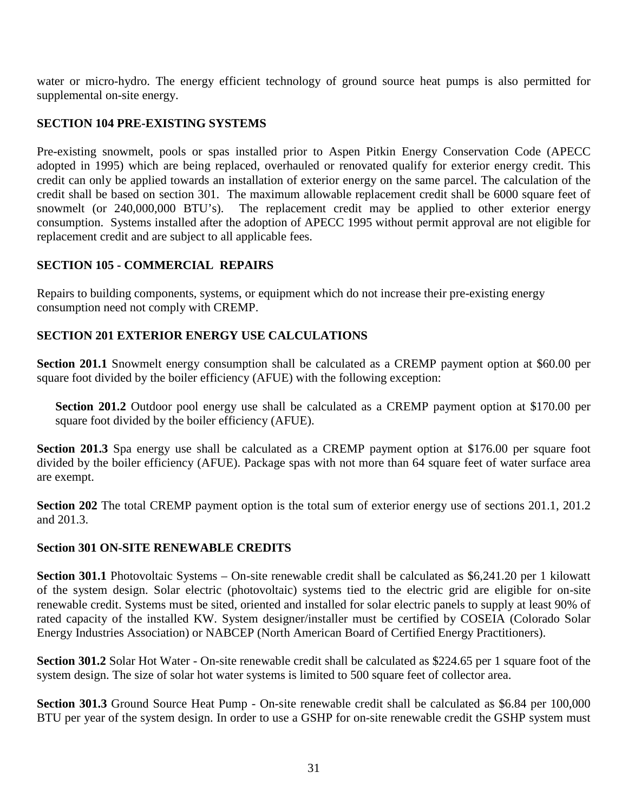water or micro-hydro. The energy efficient technology of ground source heat pumps is also permitted for supplemental on-site energy.

## **SECTION 104 PRE-EXISTING SYSTEMS**

Pre-existing snowmelt, pools or spas installed prior to Aspen Pitkin Energy Conservation Code (APECC adopted in 1995) which are being replaced, overhauled or renovated qualify for exterior energy credit. This credit can only be applied towards an installation of exterior energy on the same parcel. The calculation of the credit shall be based on section 301. The maximum allowable replacement credit shall be 6000 square feet of snowmelt (or 240,000,000 BTU's). The replacement credit may be applied to other exterior energy consumption. Systems installed after the adoption of APECC 1995 without permit approval are not eligible for replacement credit and are subject to all applicable fees.

# **SECTION 105 - COMMERCIAL REPAIRS**

Repairs to building components, systems, or equipment which do not increase their pre-existing energy consumption need not comply with CREMP.

# **SECTION 201 EXTERIOR ENERGY USE CALCULATIONS**

**Section 201.1** Snowmelt energy consumption shall be calculated as a CREMP payment option at \$60.00 per square foot divided by the boiler efficiency (AFUE) with the following exception:

**Section 201.2** Outdoor pool energy use shall be calculated as a CREMP payment option at \$170.00 per square foot divided by the boiler efficiency (AFUE).

**Section 201.3** Spa energy use shall be calculated as a CREMP payment option at \$176.00 per square foot divided by the boiler efficiency (AFUE). Package spas with not more than 64 square feet of water surface area are exempt.

**Section 202** The total CREMP payment option is the total sum of exterior energy use of sections 201.1, 201.2 and 201.3.

### **Section 301 ON-SITE RENEWABLE CREDITS**

**Section 301.1** Photovoltaic Systems – On-site renewable credit shall be calculated as \$6,241.20 per 1 kilowatt of the system design. Solar electric (photovoltaic) systems tied to the electric grid are eligible for on-site renewable credit. Systems must be sited, oriented and installed for solar electric panels to supply at least 90% of rated capacity of the installed KW. System designer/installer must be certified by COSEIA (Colorado Solar Energy Industries Association) or NABCEP (North American Board of Certified Energy Practitioners).

**Section 301.2** Solar Hot Water - On-site renewable credit shall be calculated as \$224.65 per 1 square foot of the system design. The size of solar hot water systems is limited to 500 square feet of collector area.

**Section 301.3** Ground Source Heat Pump - On-site renewable credit shall be calculated as \$6.84 per 100,000 BTU per year of the system design. In order to use a GSHP for on-site renewable credit the GSHP system must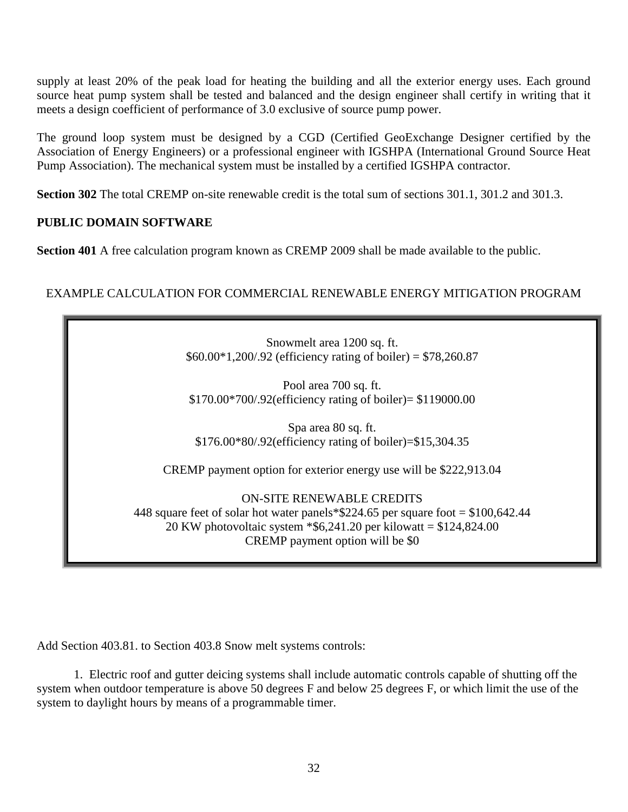supply at least 20% of the peak load for heating the building and all the exterior energy uses. Each ground source heat pump system shall be tested and balanced and the design engineer shall certify in writing that it meets a design coefficient of performance of 3.0 exclusive of source pump power.

The ground loop system must be designed by a CGD (Certified GeoExchange Designer certified by the Association of Energy Engineers) or a professional engineer with IGSHPA (International Ground Source Heat Pump Association). The mechanical system must be installed by a certified IGSHPA contractor.

**Section 302** The total CREMP on-site renewable credit is the total sum of sections 301.1, 301.2 and 301.3.

# **PUBLIC DOMAIN SOFTWARE**

**Section 401** A free calculation program known as CREMP 2009 shall be made available to the public.

# EXAMPLE CALCULATION FOR COMMERCIAL RENEWABLE ENERGY MITIGATION PROGRAM

Snowmelt area 1200 sq. ft.  $$60.00*1,200/.92$  (efficiency rating of boiler) = \$78,260.87

Pool area 700 sq. ft. \$170.00\*700/.92(efficiency rating of boiler)= \$119000.00

Spa area 80 sq. ft. \$176.00\*80/.92(efficiency rating of boiler)=\$15,304.35

CREMP payment option for exterior energy use will be \$222,913.04

ON-SITE RENEWABLE CREDITS

448 square feet of solar hot water panels\*\$224.65 per square foot = \$100,642.44 20 KW photovoltaic system \*\$6,241.20 per kilowatt = \$124,824.00 CREMP payment option will be \$0

Add Section 403.81. to Section 403.8 Snow melt systems controls:

1. Electric roof and gutter deicing systems shall include automatic controls capable of shutting off the system when outdoor temperature is above 50 degrees F and below 25 degrees F, or which limit the use of the system to daylight hours by means of a programmable timer.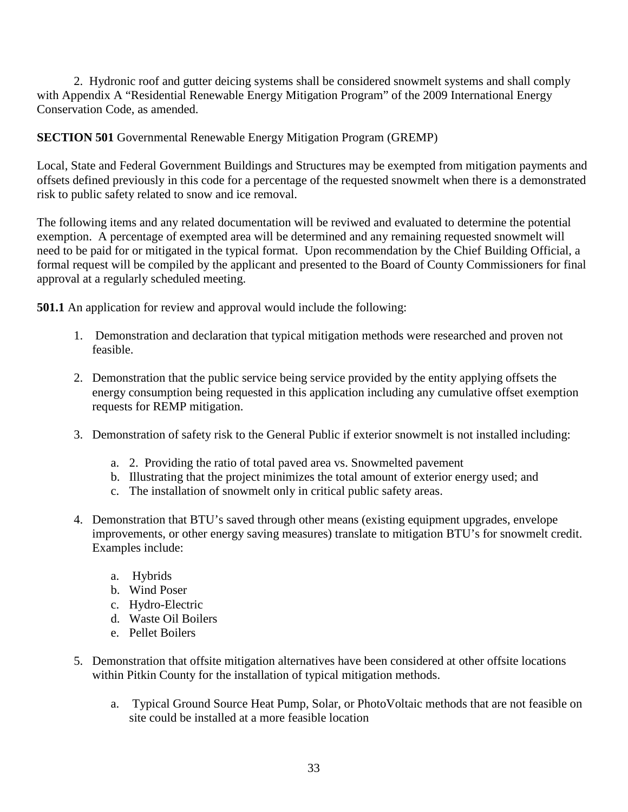2. Hydronic roof and gutter deicing systems shall be considered snowmelt systems and shall comply with Appendix A "Residential Renewable Energy Mitigation Program" of the 2009 International Energy Conservation Code, as amended.

# **SECTION 501** Governmental Renewable Energy Mitigation Program (GREMP)

Local, State and Federal Government Buildings and Structures may be exempted from mitigation payments and offsets defined previously in this code for a percentage of the requested snowmelt when there is a demonstrated risk to public safety related to snow and ice removal.

The following items and any related documentation will be reviwed and evaluated to determine the potential exemption. A percentage of exempted area will be determined and any remaining requested snowmelt will need to be paid for or mitigated in the typical format. Upon recommendation by the Chief Building Official, a formal request will be compiled by the applicant and presented to the Board of County Commissioners for final approval at a regularly scheduled meeting.

**501.1** An application for review and approval would include the following:

- 1. Demonstration and declaration that typical mitigation methods were researched and proven not feasible.
- 2. Demonstration that the public service being service provided by the entity applying offsets the energy consumption being requested in this application including any cumulative offset exemption requests for REMP mitigation.
- 3. Demonstration of safety risk to the General Public if exterior snowmelt is not installed including:
	- a. 2. Providing the ratio of total paved area vs. Snowmelted pavement
	- b. Illustrating that the project minimizes the total amount of exterior energy used; and
	- c. The installation of snowmelt only in critical public safety areas.
- 4. Demonstration that BTU's saved through other means (existing equipment upgrades, envelope improvements, or other energy saving measures) translate to mitigation BTU's for snowmelt credit. Examples include:
	- a. Hybrids
	- b. Wind Poser
	- c. Hydro-Electric
	- d. Waste Oil Boilers
	- e. Pellet Boilers
- 5. Demonstration that offsite mitigation alternatives have been considered at other offsite locations within Pitkin County for the installation of typical mitigation methods.
	- a. Typical Ground Source Heat Pump, Solar, or PhotoVoltaic methods that are not feasible on site could be installed at a more feasible location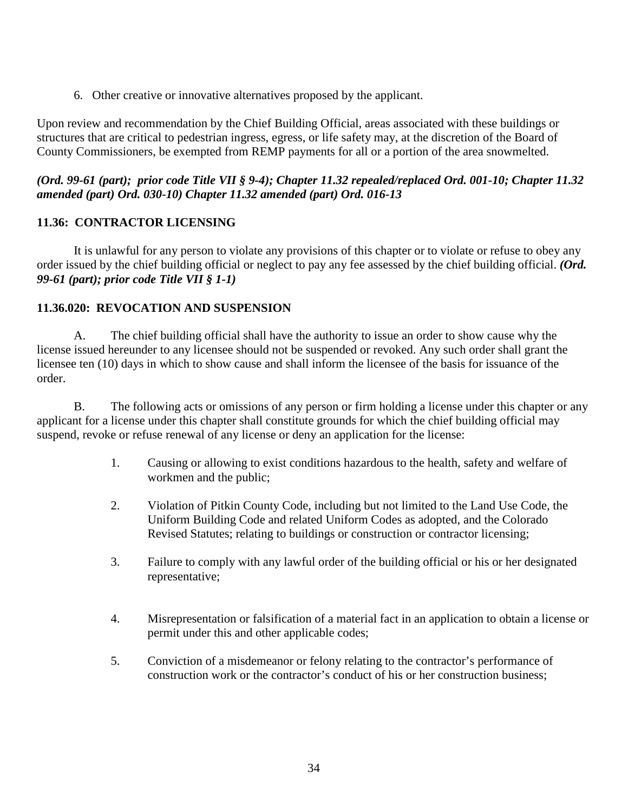6. Other creative or innovative alternatives proposed by the applicant.

Upon review and recommendation by the Chief Building Official, areas associated with these buildings or structures that are critical to pedestrian ingress, egress, or life safety may, at the discretion of the Board of County Commissioners, be exempted from REMP payments for all or a portion of the area snowmelted.

### *(Ord. 99-61 (part); prior code Title VII § 9-4); Chapter 11.32 repealed/replaced Ord. 001-10; Chapter 11.32 amended (part) Ord. 030-10) Chapter 11.32 amended (part) Ord. 016-13*

### <span id="page-33-0"></span>**11.36: CONTRACTOR LICENSING**

It is unlawful for any person to violate any provisions of this chapter or to violate or refuse to obey any order issued by the chief building official or neglect to pay any fee assessed by the chief building official. *(Ord. 99-61 (part); prior code Title VII § 1-1)*

### <span id="page-33-1"></span>**11.36.020: REVOCATION AND SUSPENSION**

A. The chief building official shall have the authority to issue an order to show cause why the license issued hereunder to any licensee should not be suspended or revoked. Any such order shall grant the licensee ten (10) days in which to show cause and shall inform the licensee of the basis for issuance of the order.

B. The following acts or omissions of any person or firm holding a license under this chapter or any applicant for a license under this chapter shall constitute grounds for which the chief building official may suspend, revoke or refuse renewal of any license or deny an application for the license:

- 1. Causing or allowing to exist conditions hazardous to the health, safety and welfare of workmen and the public;
- 2. Violation of Pitkin County Code, including but not limited to the Land Use Code, the Uniform Building Code and related Uniform Codes as adopted, and the Colorado Revised Statutes; relating to buildings or construction or contractor licensing;
- 3. Failure to comply with any lawful order of the building official or his or her designated representative;
- 4. Misrepresentation or falsification of a material fact in an application to obtain a license or permit under this and other applicable codes;
- 5. Conviction of a misdemeanor or felony relating to the contractor's performance of construction work or the contractor's conduct of his or her construction business;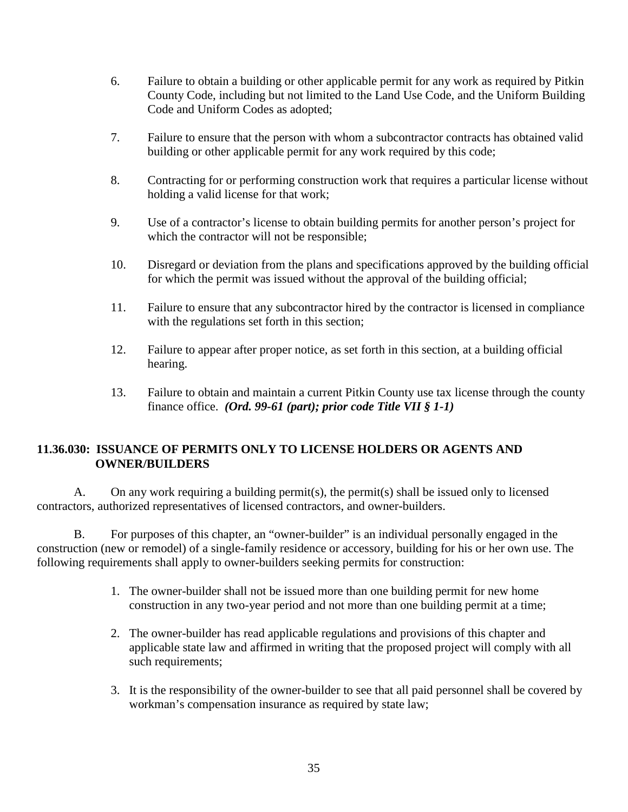- 6. Failure to obtain a building or other applicable permit for any work as required by Pitkin County Code, including but not limited to the Land Use Code, and the Uniform Building Code and Uniform Codes as adopted;
- 7. Failure to ensure that the person with whom a subcontractor contracts has obtained valid building or other applicable permit for any work required by this code;
- 8. Contracting for or performing construction work that requires a particular license without holding a valid license for that work;
- 9. Use of a contractor's license to obtain building permits for another person's project for which the contractor will not be responsible;
- 10. Disregard or deviation from the plans and specifications approved by the building official for which the permit was issued without the approval of the building official;
- 11. Failure to ensure that any subcontractor hired by the contractor is licensed in compliance with the regulations set forth in this section;
- 12. Failure to appear after proper notice, as set forth in this section, at a building official hearing.
- 13. Failure to obtain and maintain a current Pitkin County use tax license through the county finance office. *(Ord. 99-61 (part); prior code Title VII § 1-1)*

# <span id="page-34-0"></span>**11.36.030: ISSUANCE OF PERMITS ONLY TO LICENSE HOLDERS OR AGENTS AND OWNER/BUILDERS**

A. On any work requiring a building permit(s), the permit(s) shall be issued only to licensed contractors, authorized representatives of licensed contractors, and owner-builders.

B. For purposes of this chapter, an "owner-builder" is an individual personally engaged in the construction (new or remodel) of a single-family residence or accessory, building for his or her own use. The following requirements shall apply to owner-builders seeking permits for construction:

- 1. The owner-builder shall not be issued more than one building permit for new home construction in any two-year period and not more than one building permit at a time;
- 2. The owner-builder has read applicable regulations and provisions of this chapter and applicable state law and affirmed in writing that the proposed project will comply with all such requirements;
- 3. It is the responsibility of the owner-builder to see that all paid personnel shall be covered by workman's compensation insurance as required by state law;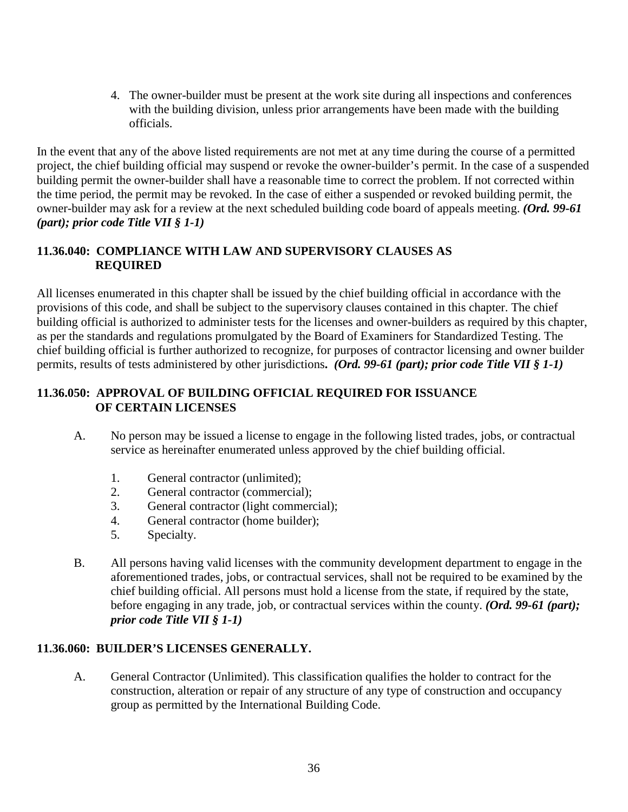4. The owner-builder must be present at the work site during all inspections and conferences with the building division, unless prior arrangements have been made with the building officials.

In the event that any of the above listed requirements are not met at any time during the course of a permitted project, the chief building official may suspend or revoke the owner-builder's permit. In the case of a suspended building permit the owner-builder shall have a reasonable time to correct the problem. If not corrected within the time period, the permit may be revoked. In the case of either a suspended or revoked building permit, the owner-builder may ask for a review at the next scheduled building code board of appeals meeting. *(Ord. 99-61 (part); prior code Title VII § 1-1)*

## <span id="page-35-1"></span><span id="page-35-0"></span>**11.36.040: COMPLIANCE WITH LAW AND SUPERVISORY CLAUSES AS REQUIRED**

All licenses enumerated in this chapter shall be issued by the chief building official in accordance with the provisions of this code, and shall be subject to the supervisory clauses contained in this chapter. The chief building official is authorized to administer tests for the licenses and owner-builders as required by this chapter, as per the standards and regulations promulgated by the Board of Examiners for Standardized Testing. The chief building official is further authorized to recognize, for purposes of contractor licensing and owner builder permits, results of tests administered by other jurisdictions**.** *(Ord. 99-61 (part); prior code Title VII § 1-1)*

### <span id="page-35-2"></span>**11.36.050: APPROVAL OF BUILDING OFFICIAL REQUIRED FOR ISSUANCE OF CERTAIN LICENSES**

- <span id="page-35-3"></span>A. No person may be issued a license to engage in the following listed trades, jobs, or contractual service as hereinafter enumerated unless approved by the chief building official.
	- 1. General contractor (unlimited);
	- 2. General contractor (commercial);
	- 3. General contractor (light commercial);
	- 4. General contractor (home builder);
	- 5. Specialty.
- B. All persons having valid licenses with the community development department to engage in the aforementioned trades, jobs, or contractual services, shall not be required to be examined by the chief building official. All persons must hold a license from the state, if required by the state, before engaging in any trade, job, or contractual services within the county. *(Ord. 99-61 (part); prior code Title VII § 1-1)*

### <span id="page-35-4"></span>**11.36.060: BUILDER'S LICENSES GENERALLY.**

A. General Contractor (Unlimited). This classification qualifies the holder to contract for the construction, alteration or repair of any structure of any type of construction and occupancy group as permitted by the International Building Code.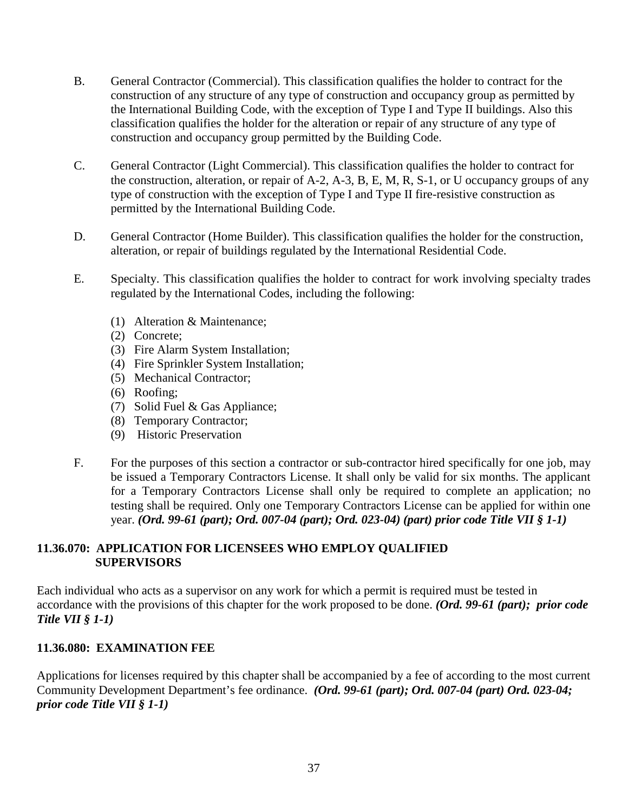- B. General Contractor (Commercial). This classification qualifies the holder to contract for the construction of any structure of any type of construction and occupancy group as permitted by the International Building Code, with the exception of Type I and Type II buildings. Also this classification qualifies the holder for the alteration or repair of any structure of any type of construction and occupancy group permitted by the Building Code.
- C. General Contractor (Light Commercial). This classification qualifies the holder to contract for the construction, alteration, or repair of A-2, A-3, B, E, M, R, S-1, or U occupancy groups of any type of construction with the exception of Type I and Type II fire-resistive construction as permitted by the International Building Code.
- D. General Contractor (Home Builder). This classification qualifies the holder for the construction, alteration, or repair of buildings regulated by the International Residential Code.
- E. Specialty. This classification qualifies the holder to contract for work involving specialty trades regulated by the International Codes, including the following:
	- (1) Alteration & Maintenance;
	- (2) Concrete;
	- (3) Fire Alarm System Installation;
	- (4) Fire Sprinkler System Installation;
	- (5) Mechanical Contractor;
	- (6) Roofing;
	- (7) Solid Fuel & Gas Appliance;
	- (8) Temporary Contractor;
	- (9) Historic Preservation
- F. For the purposes of this section a contractor or sub-contractor hired specifically for one job, may be issued a Temporary Contractors License. It shall only be valid for six months. The applicant for a Temporary Contractors License shall only be required to complete an application; no testing shall be required. Only one Temporary Contractors License can be applied for within one year. *(Ord. 99-61 (part); Ord. 007-04 (part); Ord. 023-04) (part) prior code Title VII § 1-1)*

### <span id="page-36-1"></span><span id="page-36-0"></span>**11.36.070: APPLICATION FOR LICENSEES WHO EMPLOY QUALIFIED SUPERVISORS**

Each individual who acts as a supervisor on any work for which a permit is required must be tested in accordance with the provisions of this chapter for the work proposed to be done. *(Ord. 99-61 (part); prior code Title VII § 1-1)*

#### <span id="page-36-2"></span>**11.36.080: EXAMINATION FEE**

Applications for licenses required by this chapter shall be accompanied by a fee of according to the most current Community Development Department's fee ordinance. *(Ord. 99-61 (part); Ord. 007-04 (part) Ord. 023-04; prior code Title VII § 1-1)*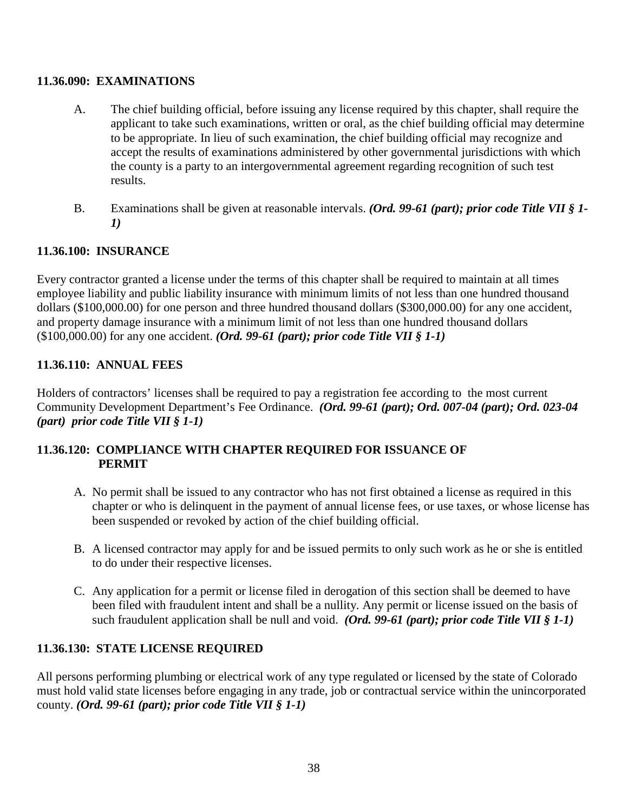### <span id="page-37-0"></span>**11.36.090: EXAMINATIONS**

- A. The chief building official, before issuing any license required by this chapter, shall require the applicant to take such examinations, written or oral, as the chief building official may determine to be appropriate. In lieu of such examination, the chief building official may recognize and accept the results of examinations administered by other governmental jurisdictions with which the county is a party to an intergovernmental agreement regarding recognition of such test results.
- B. Examinations shall be given at reasonable intervals. *(Ord. 99-61 (part); prior code Title VII § 1- 1)*

# <span id="page-37-1"></span>**11.36.100: INSURANCE**

Every contractor granted a license under the terms of this chapter shall be required to maintain at all times employee liability and public liability insurance with minimum limits of not less than one hundred thousand dollars (\$100,000.00) for one person and three hundred thousand dollars (\$300,000.00) for any one accident, and property damage insurance with a minimum limit of not less than one hundred thousand dollars (\$100,000.00) for any one accident. *(Ord. 99-61 (part); prior code Title VII § 1-1)*

# <span id="page-37-2"></span>**11.36.110: ANNUAL FEES**

Holders of contractors' licenses shall be required to pay a registration fee according to the most current Community Development Department's Fee Ordinance. *(Ord. 99-61 (part); Ord. 007-04 (part); Ord. 023-04 (part) prior code Title VII § 1-1)*

# <span id="page-37-3"></span>**11.36.120: COMPLIANCE WITH CHAPTER REQUIRED FOR ISSUANCE OF PERMIT**

- <span id="page-37-4"></span>A. No permit shall be issued to any contractor who has not first obtained a license as required in this chapter or who is delinquent in the payment of annual license fees, or use taxes, or whose license has been suspended or revoked by action of the chief building official.
- B. A licensed contractor may apply for and be issued permits to only such work as he or she is entitled to do under their respective licenses.
- C. Any application for a permit or license filed in derogation of this section shall be deemed to have been filed with fraudulent intent and shall be a nullity. Any permit or license issued on the basis of such fraudulent application shall be null and void. *(Ord. 99-61 (part); prior code Title VII § 1-1)*

# <span id="page-37-5"></span>**11.36.130: STATE LICENSE REQUIRED**

All persons performing plumbing or electrical work of any type regulated or licensed by the state of Colorado must hold valid state licenses before engaging in any trade, job or contractual service within the unincorporated county. *(Ord. 99-61 (part); prior code Title VII § 1-1)*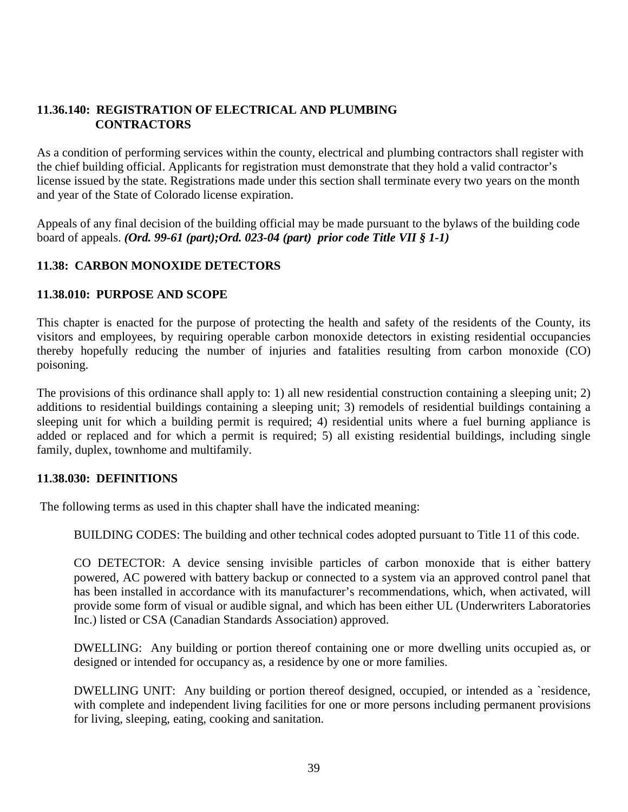## <span id="page-38-1"></span><span id="page-38-0"></span>**11.36.140: REGISTRATION OF ELECTRICAL AND PLUMBING CONTRACTORS**

As a condition of performing services within the county, electrical and plumbing contractors shall register with the chief building official. Applicants for registration must demonstrate that they hold a valid contractor's license issued by the state. Registrations made under this section shall terminate every two years on the month and year of the State of Colorado license expiration.

Appeals of any final decision of the building official may be made pursuant to the bylaws of the building code board of appeals. *(Ord. 99-61 (part);Ord. 023-04 (part) prior code Title VII § 1-1)*

# <span id="page-38-2"></span>**11.38: CARBON MONOXIDE DETECTORS**

### <span id="page-38-3"></span>**11.38.010: PURPOSE AND SCOPE**

This chapter is enacted for the purpose of protecting the health and safety of the residents of the County, its visitors and employees, by requiring operable carbon monoxide detectors in existing residential occupancies thereby hopefully reducing the number of injuries and fatalities resulting from carbon monoxide (CO) poisoning.

The provisions of this ordinance shall apply to: 1) all new residential construction containing a sleeping unit; 2) additions to residential buildings containing a sleeping unit; 3) remodels of residential buildings containing a sleeping unit for which a building permit is required; 4) residential units where a fuel burning appliance is added or replaced and for which a permit is required; 5) all existing residential buildings, including single family, duplex, townhome and multifamily.

### <span id="page-38-4"></span>**11.38.030: DEFINITIONS**

The following terms as used in this chapter shall have the indicated meaning:

BUILDING CODES: The building and other technical codes adopted pursuant to Title 11 of this code.

CO DETECTOR: A device sensing invisible particles of carbon monoxide that is either battery powered, AC powered with battery backup or connected to a system via an approved control panel that has been installed in accordance with its manufacturer's recommendations, which, when activated, will provide some form of visual or audible signal, and which has been either UL (Underwriters Laboratories Inc.) listed or CSA (Canadian Standards Association) approved.

DWELLING: Any building or portion thereof containing one or more dwelling units occupied as, or designed or intended for occupancy as, a residence by one or more families.

DWELLING UNIT: Any building or portion thereof designed, occupied, or intended as a `residence, with complete and independent living facilities for one or more persons including permanent provisions for living, sleeping, eating, cooking and sanitation.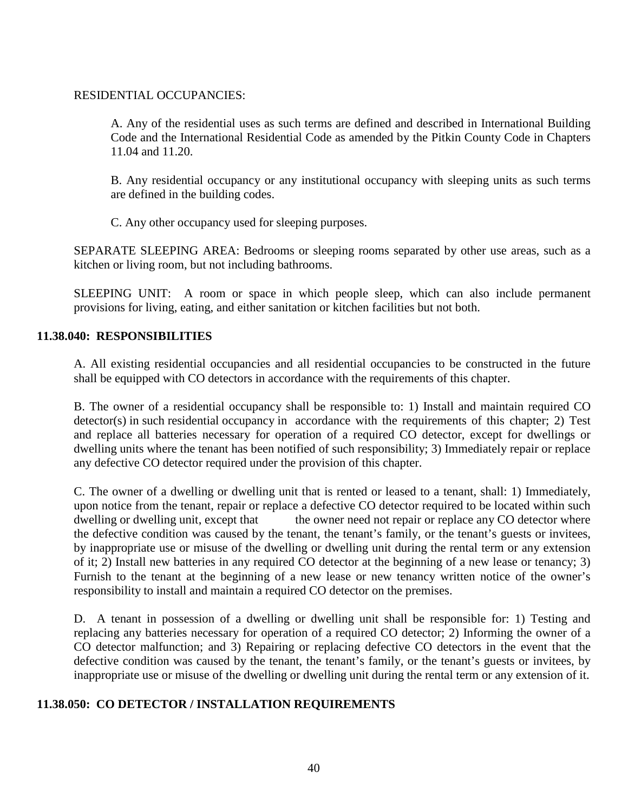#### RESIDENTIAL OCCUPANCIES:

A. Any of the residential uses as such terms are defined and described in International Building Code and the International Residential Code as amended by the Pitkin County Code in Chapters 11.04 and 11.20.

B. Any residential occupancy or any institutional occupancy with sleeping units as such terms are defined in the building codes.

C. Any other occupancy used for sleeping purposes.

SEPARATE SLEEPING AREA: Bedrooms or sleeping rooms separated by other use areas, such as a kitchen or living room, but not including bathrooms.

SLEEPING UNIT: A room or space in which people sleep, which can also include permanent provisions for living, eating, and either sanitation or kitchen facilities but not both.

#### <span id="page-39-0"></span>**11.38.040: RESPONSIBILITIES**

A. All existing residential occupancies and all residential occupancies to be constructed in the future shall be equipped with CO detectors in accordance with the requirements of this chapter.

B. The owner of a residential occupancy shall be responsible to: 1) Install and maintain required CO detector(s) in such residential occupancy in accordance with the requirements of this chapter; 2) Test and replace all batteries necessary for operation of a required CO detector, except for dwellings or dwelling units where the tenant has been notified of such responsibility; 3) Immediately repair or replace any defective CO detector required under the provision of this chapter.

C. The owner of a dwelling or dwelling unit that is rented or leased to a tenant, shall: 1) Immediately, upon notice from the tenant, repair or replace a defective CO detector required to be located within such dwelling or dwelling unit, except that the owner need not repair or replace any CO detector where the defective condition was caused by the tenant, the tenant's family, or the tenant's guests or invitees, by inappropriate use or misuse of the dwelling or dwelling unit during the rental term or any extension of it; 2) Install new batteries in any required CO detector at the beginning of a new lease or tenancy; 3) Furnish to the tenant at the beginning of a new lease or new tenancy written notice of the owner's responsibility to install and maintain a required CO detector on the premises.

D. A tenant in possession of a dwelling or dwelling unit shall be responsible for: 1) Testing and replacing any batteries necessary for operation of a required CO detector; 2) Informing the owner of a CO detector malfunction; and 3) Repairing or replacing defective CO detectors in the event that the defective condition was caused by the tenant, the tenant's family, or the tenant's guests or invitees, by inappropriate use or misuse of the dwelling or dwelling unit during the rental term or any extension of it.

### <span id="page-39-1"></span>**11.38.050: CO DETECTOR / INSTALLATION REQUIREMENTS**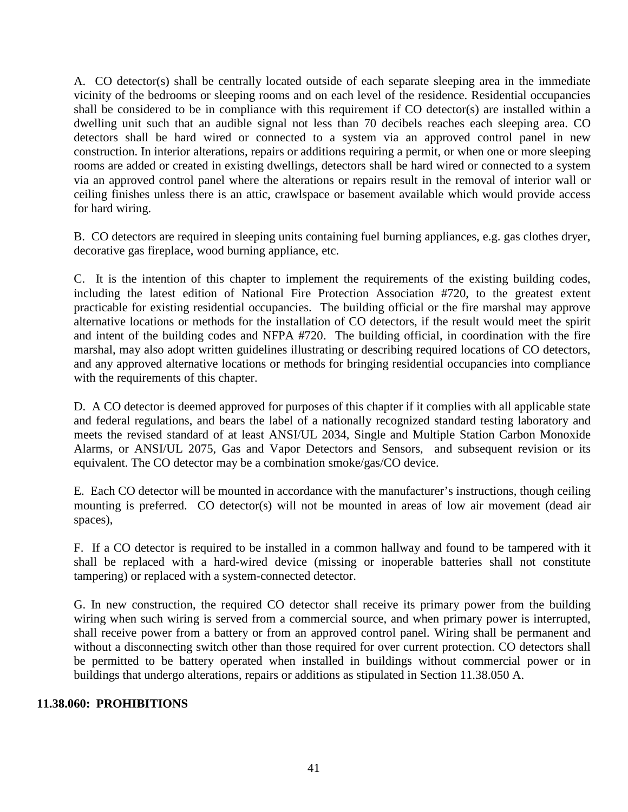A. CO detector(s) shall be centrally located outside of each separate sleeping area in the immediate vicinity of the bedrooms or sleeping rooms and on each level of the residence. Residential occupancies shall be considered to be in compliance with this requirement if CO detector(s) are installed within a dwelling unit such that an audible signal not less than 70 decibels reaches each sleeping area. CO detectors shall be hard wired or connected to a system via an approved control panel in new construction. In interior alterations, repairs or additions requiring a permit, or when one or more sleeping rooms are added or created in existing dwellings, detectors shall be hard wired or connected to a system via an approved control panel where the alterations or repairs result in the removal of interior wall or ceiling finishes unless there is an attic, crawlspace or basement available which would provide access for hard wiring.

B. CO detectors are required in sleeping units containing fuel burning appliances, e.g. gas clothes dryer, decorative gas fireplace, wood burning appliance, etc.

C. It is the intention of this chapter to implement the requirements of the existing building codes, including the latest edition of National Fire Protection Association #720, to the greatest extent practicable for existing residential occupancies. The building official or the fire marshal may approve alternative locations or methods for the installation of CO detectors, if the result would meet the spirit and intent of the building codes and NFPA #720. The building official, in coordination with the fire marshal, may also adopt written guidelines illustrating or describing required locations of CO detectors, and any approved alternative locations or methods for bringing residential occupancies into compliance with the requirements of this chapter.

D. A CO detector is deemed approved for purposes of this chapter if it complies with all applicable state and federal regulations, and bears the label of a nationally recognized standard testing laboratory and meets the revised standard of at least ANSI/UL 2034, Single and Multiple Station Carbon Monoxide Alarms, or ANSI/UL 2075, Gas and Vapor Detectors and Sensors, and subsequent revision or its equivalent. The CO detector may be a combination smoke/gas/CO device.

E. Each CO detector will be mounted in accordance with the manufacturer's instructions, though ceiling mounting is preferred. CO detector(s) will not be mounted in areas of low air movement (dead air spaces),

F. If a CO detector is required to be installed in a common hallway and found to be tampered with it shall be replaced with a hard-wired device (missing or inoperable batteries shall not constitute tampering) or replaced with a system-connected detector.

G. In new construction, the required CO detector shall receive its primary power from the building wiring when such wiring is served from a commercial source, and when primary power is interrupted, shall receive power from a battery or from an approved control panel. Wiring shall be permanent and without a disconnecting switch other than those required for over current protection. CO detectors shall be permitted to be battery operated when installed in buildings without commercial power or in buildings that undergo alterations, repairs or additions as stipulated in Section 11.38.050 A.

#### <span id="page-40-0"></span>**11.38.060: PROHIBITIONS**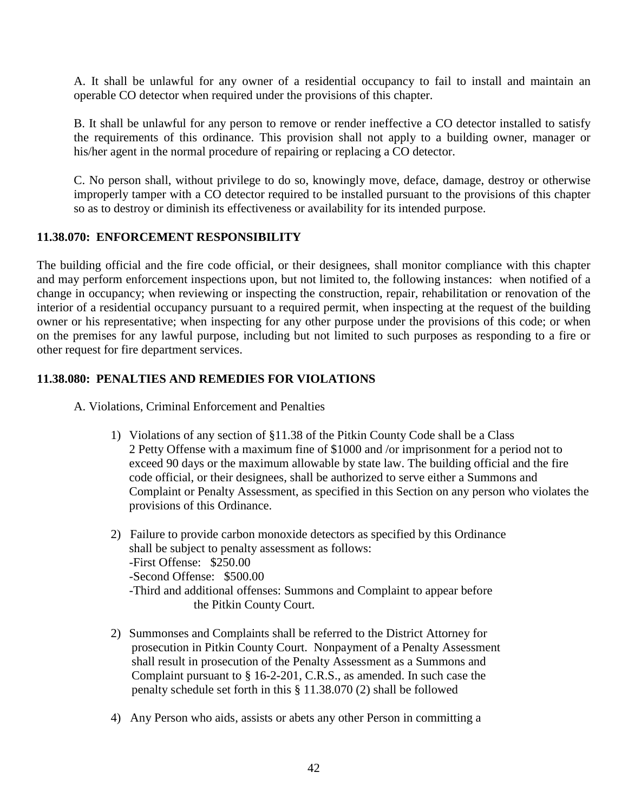A. It shall be unlawful for any owner of a residential occupancy to fail to install and maintain an operable CO detector when required under the provisions of this chapter.

B. It shall be unlawful for any person to remove or render ineffective a CO detector installed to satisfy the requirements of this ordinance. This provision shall not apply to a building owner, manager or his/her agent in the normal procedure of repairing or replacing a CO detector.

C. No person shall, without privilege to do so, knowingly move, deface, damage, destroy or otherwise improperly tamper with a CO detector required to be installed pursuant to the provisions of this chapter so as to destroy or diminish its effectiveness or availability for its intended purpose.

### <span id="page-41-0"></span>**11.38.070: ENFORCEMENT RESPONSIBILITY**

The building official and the fire code official, or their designees, shall monitor compliance with this chapter and may perform enforcement inspections upon, but not limited to, the following instances: when notified of a change in occupancy; when reviewing or inspecting the construction, repair, rehabilitation or renovation of the interior of a residential occupancy pursuant to a required permit, when inspecting at the request of the building owner or his representative; when inspecting for any other purpose under the provisions of this code; or when on the premises for any lawful purpose, including but not limited to such purposes as responding to a fire or other request for fire department services.

#### <span id="page-41-1"></span>**11.38.080: PENALTIES AND REMEDIES FOR VIOLATIONS**

A. Violations, Criminal Enforcement and Penalties

- 1) Violations of any section of §11.38 of the Pitkin County Code shall be a Class 2 Petty Offense with a maximum fine of \$1000 and /or imprisonment for a period not to exceed 90 days or the maximum allowable by state law. The building official and the fire code official, or their designees, shall be authorized to serve either a Summons and Complaint or Penalty Assessment, as specified in this Section on any person who violates the provisions of this Ordinance.
- 2) Failure to provide carbon monoxide detectors as specified by this Ordinance shall be subject to penalty assessment as follows: -First Offense: \$250.00 -Second Offense: \$500.00 -Third and additional offenses: Summons and Complaint to appear before the Pitkin County Court.
- 2) Summonses and Complaints shall be referred to the District Attorney for prosecution in Pitkin County Court. Nonpayment of a Penalty Assessment shall result in prosecution of the Penalty Assessment as a Summons and Complaint pursuant to § 16-2-201, C.R.S., as amended. In such case the penalty schedule set forth in this § 11.38.070 (2) shall be followed
- 4) Any Person who aids, assists or abets any other Person in committing a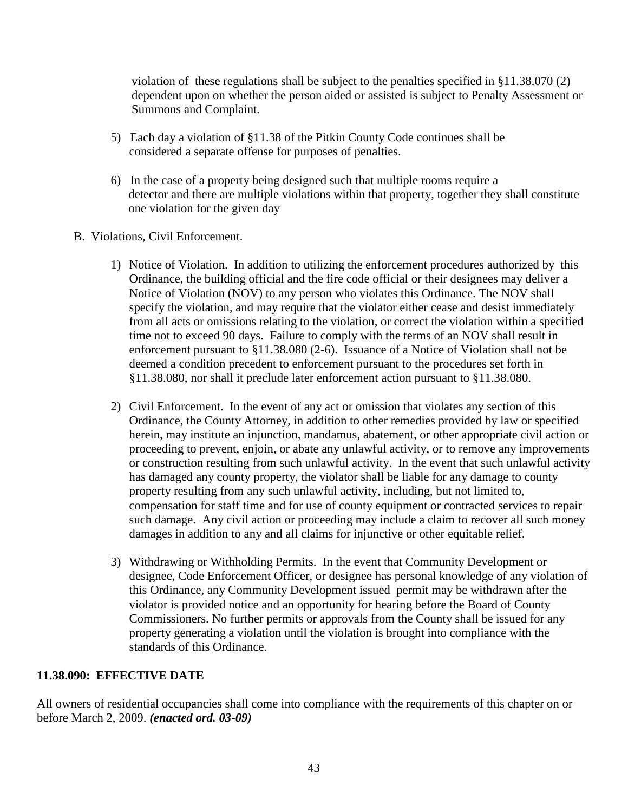violation of these regulations shall be subject to the penalties specified in §11.38.070 (2) dependent upon on whether the person aided or assisted is subject to Penalty Assessment or Summons and Complaint.

- 5) Each day a violation of §11.38 of the Pitkin County Code continues shall be considered a separate offense for purposes of penalties.
- 6) In the case of a property being designed such that multiple rooms require a detector and there are multiple violations within that property, together they shall constitute one violation for the given day
- B. Violations, Civil Enforcement.
	- 1) Notice of Violation. In addition to utilizing the enforcement procedures authorized by this Ordinance, the building official and the fire code official or their designees may deliver a Notice of Violation (NOV) to any person who violates this Ordinance. The NOV shall specify the violation, and may require that the violator either cease and desist immediately from all acts or omissions relating to the violation, or correct the violation within a specified time not to exceed 90 days. Failure to comply with the terms of an NOV shall result in enforcement pursuant to §11.38.080 (2-6). Issuance of a Notice of Violation shall not be deemed a condition precedent to enforcement pursuant to the procedures set forth in §11.38.080, nor shall it preclude later enforcement action pursuant to §11.38.080.
	- 2) Civil Enforcement. In the event of any act or omission that violates any section of this Ordinance, the County Attorney, in addition to other remedies provided by law or specified herein, may institute an injunction, mandamus, abatement, or other appropriate civil action or proceeding to prevent, enjoin, or abate any unlawful activity, or to remove any improvements or construction resulting from such unlawful activity. In the event that such unlawful activity has damaged any county property, the violator shall be liable for any damage to county property resulting from any such unlawful activity, including, but not limited to, compensation for staff time and for use of county equipment or contracted services to repair such damage. Any civil action or proceeding may include a claim to recover all such money damages in addition to any and all claims for injunctive or other equitable relief.
	- 3) Withdrawing or Withholding Permits. In the event that Community Development or designee, Code Enforcement Officer, or designee has personal knowledge of any violation of this Ordinance, any Community Development issued permit may be withdrawn after the violator is provided notice and an opportunity for hearing before the Board of County Commissioners. No further permits or approvals from the County shall be issued for any property generating a violation until the violation is brought into compliance with the standards of this Ordinance.

#### <span id="page-42-0"></span>**11.38.090: EFFECTIVE DATE**

All owners of residential occupancies shall come into compliance with the requirements of this chapter on or before March 2, 2009. *(enacted ord. 03-09)*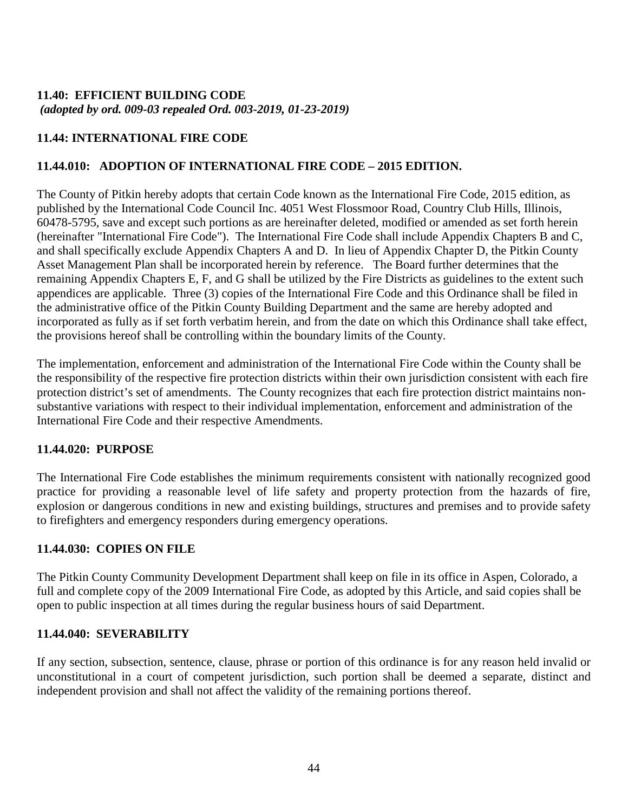#### <span id="page-43-1"></span><span id="page-43-0"></span>**11.40: EFFICIENT BUILDING CODE** *(adopted by ord. 009-03 repealed Ord. 003-2019, 01-23-2019)*

# <span id="page-43-2"></span>**11.44: INTERNATIONAL FIRE CODE**

# **11.44.010: ADOPTION OF INTERNATIONAL FIRE CODE – 2015 EDITION.**

The County of Pitkin hereby adopts that certain Code known as the International Fire Code, 2015 edition, as published by the International Code Council Inc. 4051 West Flossmoor Road, Country Club Hills, Illinois, 60478-5795, save and except such portions as are hereinafter deleted, modified or amended as set forth herein (hereinafter "International Fire Code"). The International Fire Code shall include Appendix Chapters B and C, and shall specifically exclude Appendix Chapters A and D. In lieu of Appendix Chapter D, the Pitkin County Asset Management Plan shall be incorporated herein by reference. The Board further determines that the remaining Appendix Chapters E, F, and G shall be utilized by the Fire Districts as guidelines to the extent such appendices are applicable. Three (3) copies of the International Fire Code and this Ordinance shall be filed in the administrative office of the Pitkin County Building Department and the same are hereby adopted and incorporated as fully as if set forth verbatim herein, and from the date on which this Ordinance shall take effect, the provisions hereof shall be controlling within the boundary limits of the County.

The implementation, enforcement and administration of the International Fire Code within the County shall be the responsibility of the respective fire protection districts within their own jurisdiction consistent with each fire protection district's set of amendments. The County recognizes that each fire protection district maintains nonsubstantive variations with respect to their individual implementation, enforcement and administration of the International Fire Code and their respective Amendments.

### **11.44.020: PURPOSE**

The International Fire Code establishes the minimum requirements consistent with nationally recognized good practice for providing a reasonable level of life safety and property protection from the hazards of fire, explosion or dangerous conditions in new and existing buildings, structures and premises and to provide safety to firefighters and emergency responders during emergency operations.

### **11.44.030: COPIES ON FILE**

The Pitkin County Community Development Department shall keep on file in its office in Aspen, Colorado, a full and complete copy of the 2009 International Fire Code, as adopted by this Article, and said copies shall be open to public inspection at all times during the regular business hours of said Department.

### **11.44.040: SEVERABILITY**

If any section, subsection, sentence, clause, phrase or portion of this ordinance is for any reason held invalid or unconstitutional in a court of competent jurisdiction, such portion shall be deemed a separate, distinct and independent provision and shall not affect the validity of the remaining portions thereof.